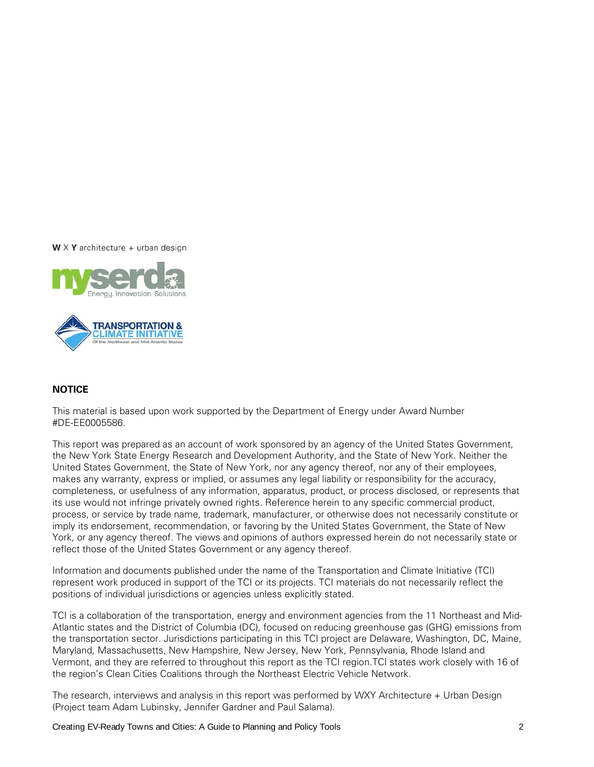$W \times Y$  architecture + urban design



#### **NOTICE**

This material is based upon work supported by the Department of Energy under Award Number #DE-EE0005586.

This report was prepared as an account of work sponsored by an agency of the United States Government, the New York State Energy Research and Development Authority, and the State of New York. Neither the United States Government, the State of New York, nor any agency thereof, nor any of their employees, makes any warranty, express or implied, or assumes any legal liability or responsibility for the accuracy, completeness, or usefulness of any information, apparatus, product, or process disclosed, or represents that its use would not infringe privately owned rights. Reference herein to any specific commercial product, process, or service by trade name, trademark, manufacturer, or otherwise does not necessarily constitute or imply its endorsement, recommendation, or favoring by the United States Government, the State of New York, or any agency thereof. The views and opinions of authors expressed herein do not necessarily state or reflect those of the United States Government or any agency thereof.

Information and documents published under the name of the Transportation and Climate Initiative (TCI) represent work produced in support of the TCI or its projects. TCI materials do not necessarily reflect the positions of individual jurisdictions or agencies unless explicitly stated.

TCI is a collaboration of the transportation, energy and environment agencies from the 11 Northeast and Mid-Atlantic states and the District of Columbia (DC), focused on reducing greenhouse gas (GHG) emissions from the transportation sector. Jurisdictions participating in this TCI project are Delaware, Washington, DC, Maine, Maryland, Massachusetts, New Hampshire, New Jersey, New York, Pennsylvania, Rhode Island and Vermont, and they are referred to throughout this report as the TCI region.TCI states work closely with 16 of the region's Clean Cities Coalitions through the Northeast Electric Vehicle Network.

The research, interviews and analysis in this report was performed by WXY Architecture + Urban Design (Project team Adam Lubinsky, Jennifer Gardner and Paul Salama).

Creating EV-Ready Towns and Cities: A Guide to Planning and Policy Tools 2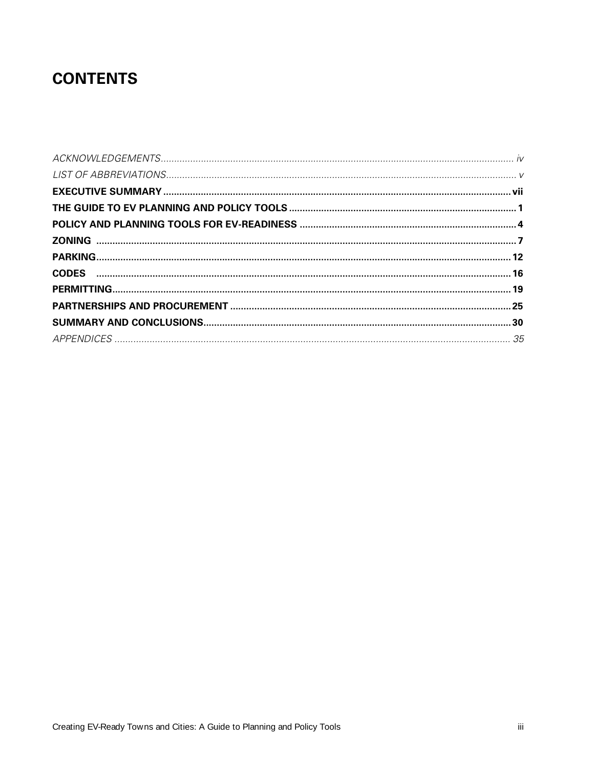# **CONTENTS**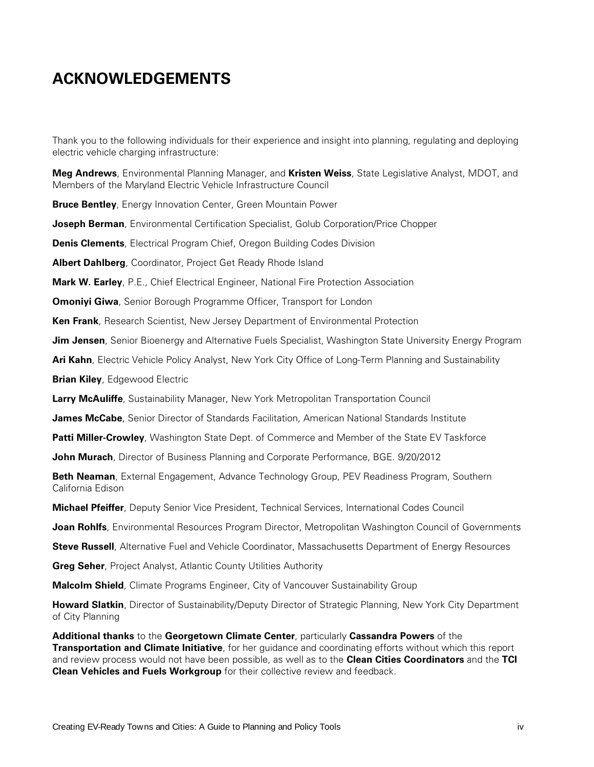# <span id="page-3-0"></span>**ACKNOWLEDGEMENTS**

Thank you to the following individuals for their experience and insight into planning, regulating and deploying electric vehicle charging infrastructure:

**Meg Andrews**, Environmental Planning Manager, and **Kristen Weiss**, State Legislative Analyst, MDOT, and Members of the Maryland Electric Vehicle Infrastructure Council

**Bruce Bentley**, Energy Innovation Center, Green Mountain Power

**Joseph Berman**, Environmental Certification Specialist, Golub Corporation/Price Chopper

**Denis Clements**, Electrical Program Chief, Oregon Building Codes Division

**Albert Dahlberg**, Coordinator, Project Get Ready Rhode Island

**Mark W. Earley**, P.E., Chief Electrical Engineer, National Fire Protection Association

**Omoniyi Giwa**, Senior Borough Programme Officer, Transport for London

**Ken Frank**, Research Scientist, New Jersey Department of Environmental Protection

**Jim Jensen**, Senior Bioenergy and Alternative Fuels Specialist, Washington State University Energy Program

**Ari Kahn**, Electric Vehicle Policy Analyst, New York City Office of Long-Term Planning and Sustainability

**Brian Kiley**, Edgewood Electric

**Larry McAuliffe**, Sustainability Manager, New York Metropolitan Transportation Council

**James McCabe**, Senior Director of Standards Facilitation, American National Standards Institute

**Patti Miller-Crowley**, Washington State Dept. of Commerce and Member of the State EV Taskforce

**John Murach**, Director of Business Planning and Corporate Performance, BGE. 9/20/2012

**Beth Neaman**, External Engagement, Advance Technology Group, PEV Readiness Program, Southern California Edison

**Michael Pfeiffer**, Deputy Senior Vice President, Technical Services, International Codes Council

**Joan Rohlfs**, Environmental Resources Program Director, Metropolitan Washington Council of Governments

**Steve Russell**, Alternative Fuel and Vehicle Coordinator, Massachusetts Department of Energy Resources

**Greg Seher**, Project Analyst, Atlantic County Utilities Authority

**Malcolm Shield**, Climate Programs Engineer, City of Vancouver Sustainability Group

**Howard Slatkin**, Director of Sustainability/Deputy Director of Strategic Planning, New York City Department of City Planning

**Additional thanks** to the **Georgetown Climate Center**, particularly **Cassandra Powers** of the **Transportation and Climate Initiative**, for her guidance and coordinating efforts without which this report and review process would not have been possible, as well as to the **Clean Cities Coordinators** and the **TCI Clean Vehicles and Fuels Workgroup** for their collective review and feedback.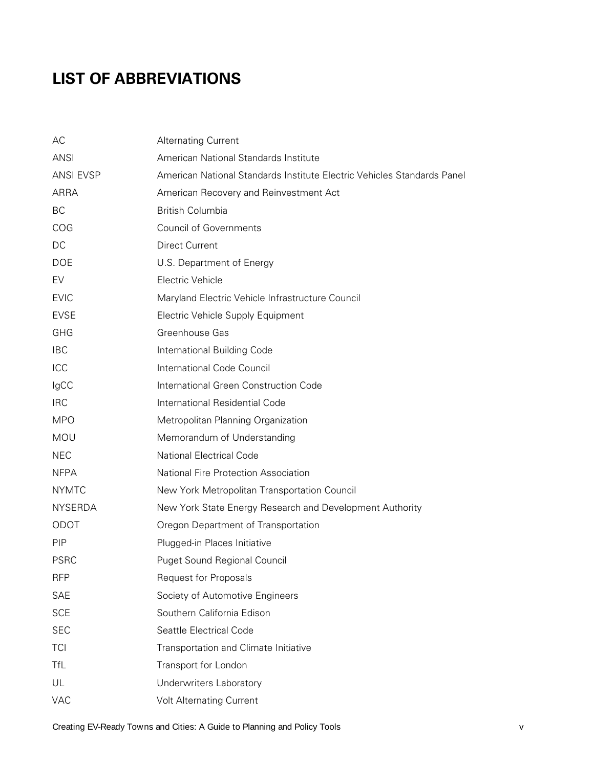# <span id="page-4-0"></span>**LIST OF ABBREVIATIONS**

| АC               | <b>Alternating Current</b>                                              |
|------------------|-------------------------------------------------------------------------|
| <b>ANSI</b>      | American National Standards Institute                                   |
| <b>ANSI EVSP</b> | American National Standards Institute Electric Vehicles Standards Panel |
| ARRA             | American Recovery and Reinvestment Act                                  |
| BC               | <b>British Columbia</b>                                                 |
| COG              | <b>Council of Governments</b>                                           |
| DC               | <b>Direct Current</b>                                                   |
| <b>DOE</b>       | U.S. Department of Energy                                               |
| EV               | Electric Vehicle                                                        |
| <b>EVIC</b>      | Maryland Electric Vehicle Infrastructure Council                        |
| <b>EVSE</b>      | Electric Vehicle Supply Equipment                                       |
| <b>GHG</b>       | Greenhouse Gas                                                          |
| <b>IBC</b>       | International Building Code                                             |
| ICC              | International Code Council                                              |
| <b>IgCC</b>      | International Green Construction Code                                   |
| <b>IRC</b>       | International Residential Code                                          |
| <b>MPO</b>       | Metropolitan Planning Organization                                      |
| <b>MOU</b>       | Memorandum of Understanding                                             |
| <b>NEC</b>       | <b>National Electrical Code</b>                                         |
| <b>NFPA</b>      | National Fire Protection Association                                    |
| <b>NYMTC</b>     | New York Metropolitan Transportation Council                            |
| <b>NYSERDA</b>   | New York State Energy Research and Development Authority                |
| ODOT             | Oregon Department of Transportation                                     |
| <b>PIP</b>       | Plugged-in Places Initiative                                            |
| <b>PSRC</b>      | <b>Puget Sound Regional Council</b>                                     |
| <b>RFP</b>       | <b>Request for Proposals</b>                                            |
| SAE              | Society of Automotive Engineers                                         |
| <b>SCE</b>       | Southern California Edison                                              |
| <b>SEC</b>       | Seattle Electrical Code                                                 |
| <b>TCI</b>       | Transportation and Climate Initiative                                   |
| <b>TfL</b>       | Transport for London                                                    |
| UL               | <b>Underwriters Laboratory</b>                                          |
| VAC              | <b>Volt Alternating Current</b>                                         |

Creating EV-Ready Towns and Cities: A Guide to Planning and Policy Tools v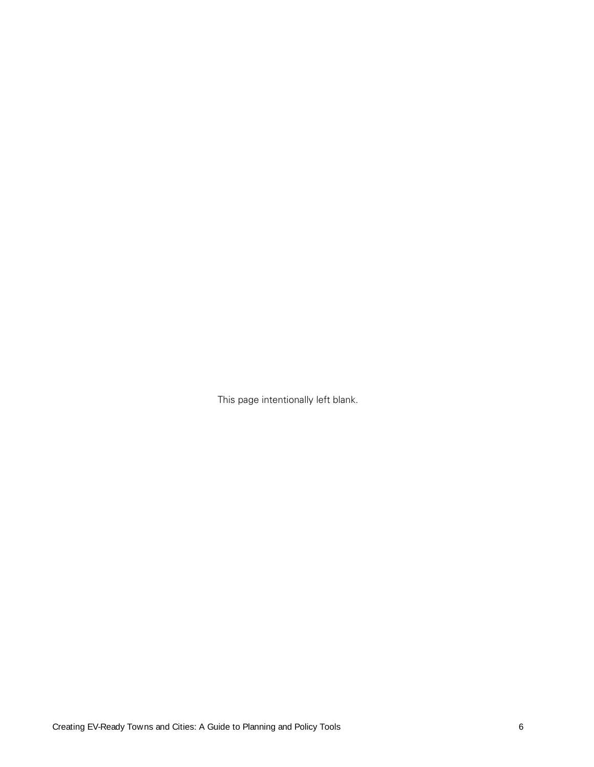This page intentionally left blank.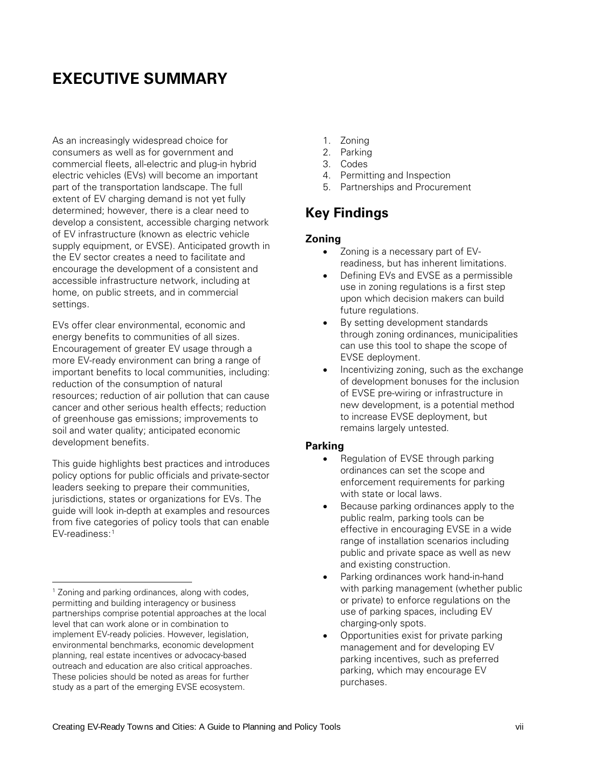# **CONTENTS**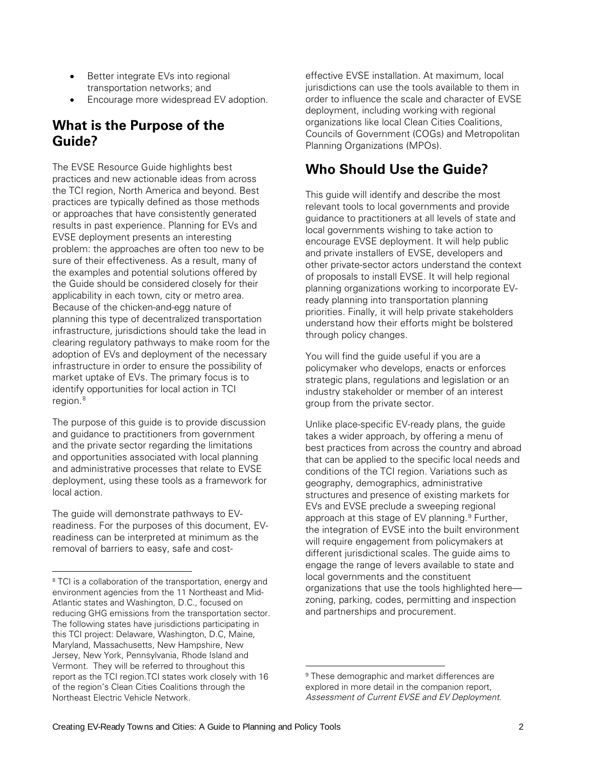- Better integrate EVs into regional transportation networks; and
- Encourage more widespread EV adoption.

### **What is the Purpose of the Guide?**

The EVSE Resource Guide highlights best practices and new actionable ideas from across the TCI region, North America and beyond. Best practices are typically defined as those methods or approaches that have consistently generated results in past experience. Planning for EVs and EVSE deployment presents an interesting problem: the approaches are often too new to be sure of their effectiveness. As a result, many of the examples and potential solutions offered by the Guide should be considered closely for their applicability in each town, city or metro area. Because of the chicken-and-egg nature of planning this type of decentralized transportation infrastructure, jurisdictions should take the lead in clearing regulatory pathways to make room for the adoption of EVs and deployment of the necessary infrastructure in order to ensure the possibility of market uptake of EVs. The primary focus is to identify opportunities for local action in TCI region.<sup>[8](#page-9-0)</sup>

The purpose of this guide is to provide discussion and guidance to practitioners from government and the private sector regarding the limitations and opportunities associated with local planning and administrative processes that relate to EVSE deployment, using these tools as a framework for local action.

The guide will demonstrate pathways to EVreadiness. For the purposes of this document, EVreadiness can be interpreted at minimum as the removal of barriers to easy, safe and cost-

j

effective EVSE installation. At maximum, local jurisdictions can use the tools available to them in order to influence the scale and character of EVSE deployment, including working with regional organizations like local Clean Cities Coalitions, Councils of Government (COGs) and Metropolitan Planning Organizations (MPOs).

# **Who Should Use the Guide?**

This guide will identify and describe the most relevant tools to local governments and provide guidance to practitioners at all levels of state and local governments wishing to take action to encourage EVSE deployment. It will help public and private installers of EVSE, developers and other private-sector actors understand the context of proposals to install EVSE. It will help regional planning organizations working to incorporate EVready planning into transportation planning priorities. Finally, it will help private stakeholders understand how their efforts might be bolstered through policy changes.

You will find the guide useful if you are a policymaker who develops, enacts or enforces strategic plans, regulations and legislation or an industry stakeholder or member of an interest group from the private sector.

Unlike place-specific EV-ready plans, the guide takes a wider approach, by offering a menu of best practices from across the country and abroad that can be applied to the specific local needs and conditions of the TCI region. Variations such as geography, demographics, administrative structures and presence of existing markets for EVs and EVSE preclude a sweeping regional approach at this stage of EV planning.<sup>[9](#page-9-1)</sup> Further, the integration of EVSE into the built environment will require engagement from policymakers at different jurisdictional scales. The guide aims to engage the range of levers available to state and local governments and the constituent organizations that use the tools highlighted here zoning, parking, codes, permitting and inspection and partnerships and procurement.

j

<span id="page-9-1"></span><span id="page-9-0"></span><sup>&</sup>lt;sup>8</sup> TCI is a collaboration of the transportation, energy and environment agencies from the 11 Northeast and Mid-Atlantic states and Washington, D.C., focused on reducing GHG emissions from the transportation sector. The following states have jurisdictions participating in this TCI project: Delaware, Washington, D.C, Maine, Maryland, Massachusetts, New Hampshire, New Jersey, New York, Pennsylvania, Rhode Island and Vermont. They will be referred to throughout this report as the TCI region.TCI states work closely with 16 of the region's Clean Cities Coalitions through the Northeast Electric Vehicle Network.

<sup>&</sup>lt;sup>9</sup> These demographic and market differences are explored in more detail in the companion report, *Assessment of Current EVSE and EV Deployment*.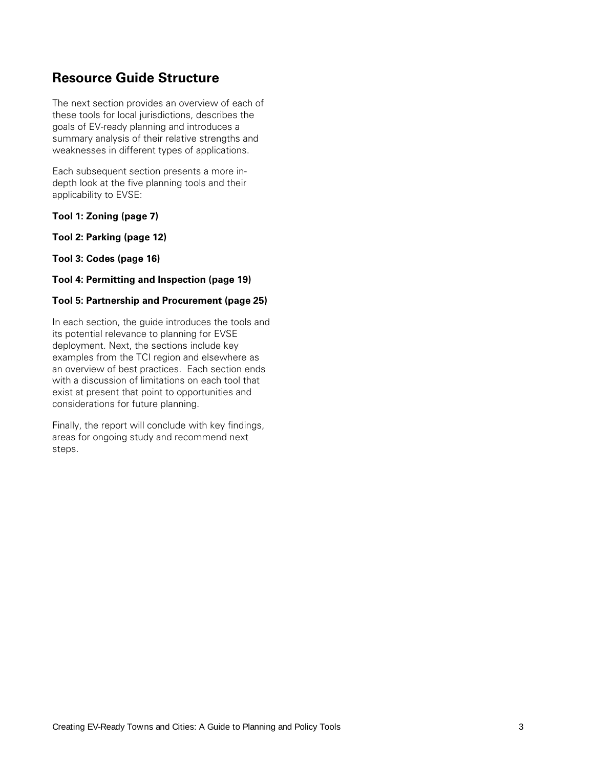### **Resource Guide Structure**

The next section provides an overview of each of these tools for local jurisdictions, describes the goals of EV-ready planning and introduces a summary analysis of their relative strengths and weaknesses in different types of applications.

Each subsequent section presents a more indepth look at the five planning tools and their applicability to EVSE:

#### **Tool 1: Zoning (page 7)**

**Tool 2: Parking (page 12)** 

**Tool 3: Codes (page 16)** 

#### **Tool 4: Permitting and Inspection (page 19)**

#### **Tool 5: Partnership and Procurement (page 25)**

In each section, the guide introduces the tools and its potential relevance to planning for EVSE deployment. Next, the sections include key examples from the TCI region and elsewhere as an overview of best practices. Each section ends with a discussion of limitations on each tool that exist at present that point to opportunities and considerations for future planning.

Finally, the report will conclude with key findings, areas for ongoing study and recommend next steps.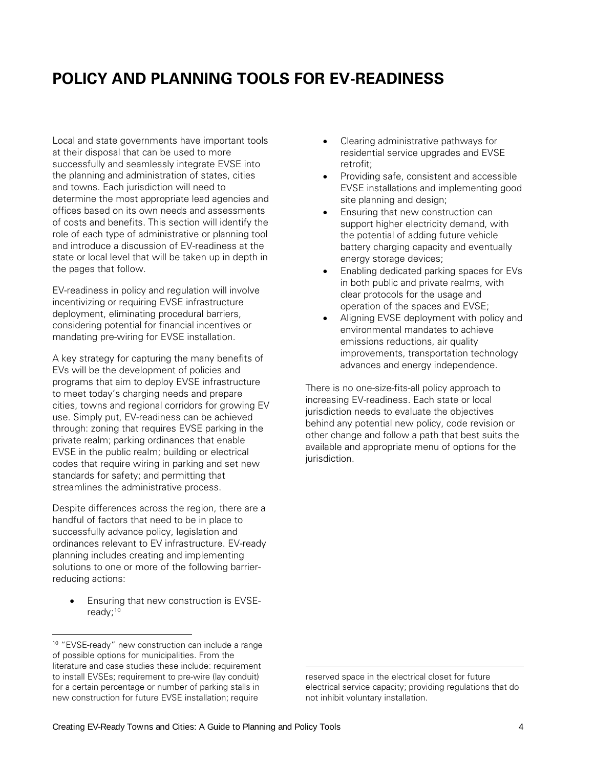# **POLICY AND PLANNING TOOLS FOR EV-READINESS**

Local and state governments have important tools at their disposal that can be used to more successfully and seamlessly integrate EVSE into the planning and administration of states, cities and towns. Each jurisdiction will need to determine the most appropriate lead agencies and offices based on its own needs and assessments of costs and benefits. This section will identify the role of each type of administrative or planning tool and introduce a discussion of EV-readiness at the state or local level that will be taken up in depth in the pages that follow.

EV-readiness in policy and regulation will involve incentivizing or requiring EVSE infrastructure deployment, eliminating procedural barriers, considering potential for financial incentives or mandating pre-wiring for EVSE installation.

A key strategy for capturing the many benefits of EVs will be the development of policies and programs that aim to deploy EVSE infrastructure to meet today's charging needs and prepare cities, towns and regional corridors for growing EV use. Simply put, EV-readiness can be achieved through: zoning that requires EVSE parking in the private realm; parking ordinances that enable EVSE in the public realm; building or electrical codes that require wiring in parking and set new standards for safety; and permitting that streamlines the administrative process.

Despite differences across the region, there are a handful of factors that need to be in place to successfully advance policy, legislation and ordinances relevant to EV infrastructure. EV-ready planning includes creating and implementing solutions to one or more of the following barrierreducing actions:

• Ensuring that new construction is EVSEready; [10](#page-11-0)

-

- Clearing administrative pathways for residential service upgrades and EVSE retrofit;
- Providing safe, consistent and accessible EVSE installations and implementing good site planning and design;
- Ensuring that new construction can support higher electricity demand, with the potential of adding future vehicle battery charging capacity and eventually energy storage devices;
- Enabling dedicated parking spaces for EVs in both public and private realms, with clear protocols for the usage and operation of the spaces and EVSE;
- Aligning EVSE deployment with policy and environmental mandates to achieve emissions reductions, air quality improvements, transportation technology advances and energy independence.

There is no one-size-fits-all policy approach to increasing EV-readiness. Each state or local jurisdiction needs to evaluate the objectives behind any potential new policy, code revision or other change and follow a path that best suits the available and appropriate menu of options for the jurisdiction.

-

<span id="page-11-0"></span><sup>10</sup> "EVSE-ready" new construction can include a range of possible options for municipalities. From the literature and case studies these include: requirement to install EVSEs; requirement to pre-wire (lay conduit) for a certain percentage or number of parking stalls in new construction for future EVSE installation; require

reserved space in the electrical closet for future electrical service capacity; providing regulations that do not inhibit voluntary installation.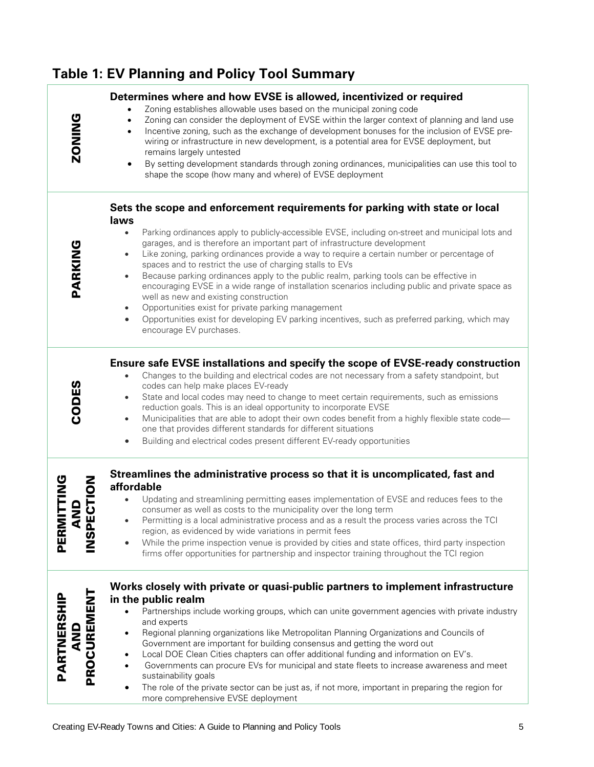# **Table 1: EV Planning and Policy Tool Summary**

| <b>GNINOZ</b>                                                              | Determines where and how EVSE is allowed, incentivized or required<br>Zoning establishes allowable uses based on the municipal zoning code<br>Zoning can consider the deployment of EVSE within the larger context of planning and land use<br>Incentive zoning, such as the exchange of development bonuses for the inclusion of EVSE pre-<br>$\bullet$<br>wiring or infrastructure in new development, is a potential area for EVSE deployment, but<br>remains largely untested<br>By setting development standards through zoning ordinances, municipalities can use this tool to<br>$\bullet$<br>shape the scope (how many and where) of EVSE deployment                                                                                                                                                                                                                                                               |
|----------------------------------------------------------------------------|----------------------------------------------------------------------------------------------------------------------------------------------------------------------------------------------------------------------------------------------------------------------------------------------------------------------------------------------------------------------------------------------------------------------------------------------------------------------------------------------------------------------------------------------------------------------------------------------------------------------------------------------------------------------------------------------------------------------------------------------------------------------------------------------------------------------------------------------------------------------------------------------------------------------------|
| PARKING                                                                    | Sets the scope and enforcement requirements for parking with state or local<br>laws<br>Parking ordinances apply to publicly-accessible EVSE, including on-street and municipal lots and<br>$\bullet$<br>garages, and is therefore an important part of infrastructure development<br>Like zoning, parking ordinances provide a way to require a certain number or percentage of<br>$\bullet$<br>spaces and to restrict the use of charging stalls to EVs<br>Because parking ordinances apply to the public realm, parking tools can be effective in<br>$\bullet$<br>encouraging EVSE in a wide range of installation scenarios including public and private space as<br>well as new and existing construction<br>Opportunities exist for private parking management<br>$\bullet$<br>Opportunities exist for developing EV parking incentives, such as preferred parking, which may<br>$\bullet$<br>encourage EV purchases. |
| CODES                                                                      | Ensure safe EVSE installations and specify the scope of EVSE-ready construction<br>Changes to the building and electrical codes are not necessary from a safety standpoint, but<br>codes can help make places EV-ready<br>State and local codes may need to change to meet certain requirements, such as emissions<br>$\bullet$<br>reduction goals. This is an ideal opportunity to incorporate EVSE<br>Municipalities that are able to adopt their own codes benefit from a highly flexible state code-<br>$\bullet$<br>one that provides different standards for different situations<br>Building and electrical codes present different EV-ready opportunities<br>٠                                                                                                                                                                                                                                                     |
| $\overline{5}$<br><b>1ITTING</b><br>ND<br>ĔĊ<br>PERM<br>⋖<br><b>p</b><br>Ž | Streamlines the administrative process so that it is uncomplicated, fast and<br>affordable<br>Updating and streamlining permitting eases implementation of EVSE and reduces fees to the<br>consumer as well as costs to the municipality over the long term<br>Permitting is a local administrative process and as a result the process varies across the TCI<br>region, as evidenced by wide variations in permit fees<br>While the prime inspection venue is provided by cities and state offices, third party inspection<br>firms offer opportunities for partnership and inspector training throughout the TCI region                                                                                                                                                                                                                                                                                                  |
| <b>PROCUREMENT</b><br>PARTNERSHIP<br>QND                                   | Works closely with private or quasi-public partners to implement infrastructure<br>in the public realm<br>Partnerships include working groups, which can unite government agencies with private industry<br>$\bullet$<br>and experts<br>Regional planning organizations like Metropolitan Planning Organizations and Councils of<br>$\bullet$<br>Government are important for building consensus and getting the word out<br>Local DOE Clean Cities chapters can offer additional funding and information on EV's.<br>$\bullet$<br>Governments can procure EVs for municipal and state fleets to increase awareness and meet<br>$\bullet$<br>sustainability goals<br>The role of the private sector can be just as, if not more, important in preparing the region for<br>٠<br>more comprehensive EVSE deployment                                                                                                          |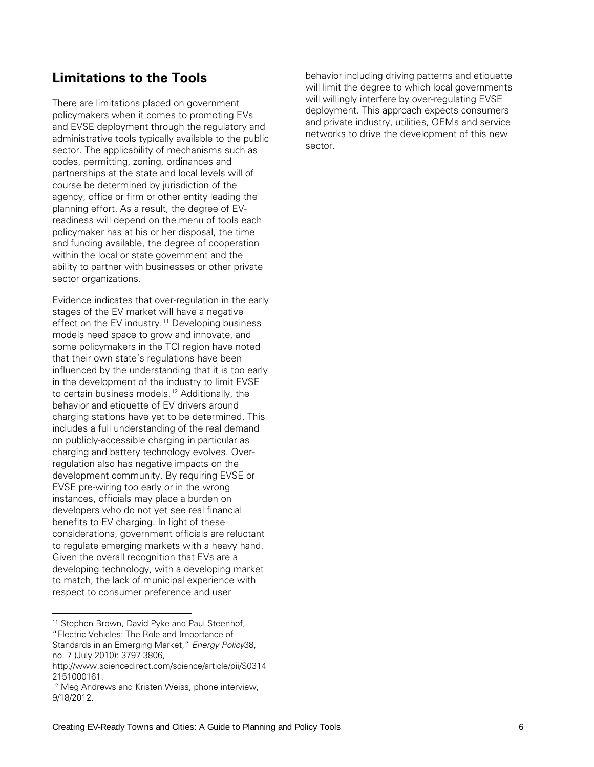### **Limitations to the Tools**

There are limitations placed on government policymakers when it comes to promoting EVs and EVSE deployment through the regulatory and administrative tools typically available to the public sector. The applicability of mechanisms such as codes, permitting, zoning, ordinances and partnerships at the state and local levels will of course be determined by jurisdiction of the agency, office or firm or other entity leading the planning effort. As a result, the degree of EVreadiness will depend on the menu of tools each policymaker has at his or her disposal, the time and funding available, the degree of cooperation within the local or state government and the ability to partner with businesses or other private sector organizations.

Evidence indicates that over-regulation in the early stages of the EV market will have a negative effect on the EV industry.<sup>[11](#page-13-0)</sup> Developing business models need space to grow and innovate, and some policymakers in the TCI region have noted that their own state's regulations have been influenced by the understanding that it is too early in the development of the industry to limit EVSE to certain business models. [12](#page-13-1) Additionally, the behavior and etiquette of EV drivers around charging stations have yet to be determined. This includes a full understanding of the real demand on publicly-accessible charging in particular as charging and battery technology evolves. Overregulation also has negative impacts on the development community. By requiring EVSE or EVSE pre-wiring too early or in the wrong instances, officials may place a burden on developers who do not yet see real financial benefits to EV charging. In light of these considerations, government officials are reluctant to regulate emerging markets with a heavy hand. Given the overall recognition that EVs are a developing technology, with a developing market to match, the lack of municipal experience with respect to consumer preference and user

behavior including driving patterns and etiquette will limit the degree to which local governments will willingly interfere by over-regulating EVSE deployment. This approach expects consumers and private industry, utilities, OEMs and service networks to drive the development of this new sector.

<span id="page-13-0"></span><sup>&</sup>lt;sup>11</sup> Stephen Brown, David Pyke and Paul Steenhof, "Electric Vehicles: The Role and Importance of Standards in an Emerging Market," *Energy Policy*38, no. 7 (July 2010): 3797-3806,

http://www.sciencedirect.com/science/article/pii/S0314 2151000161.

<span id="page-13-1"></span><sup>&</sup>lt;sup>12</sup> Meg Andrews and Kristen Weiss, phone interview, 9/18/2012.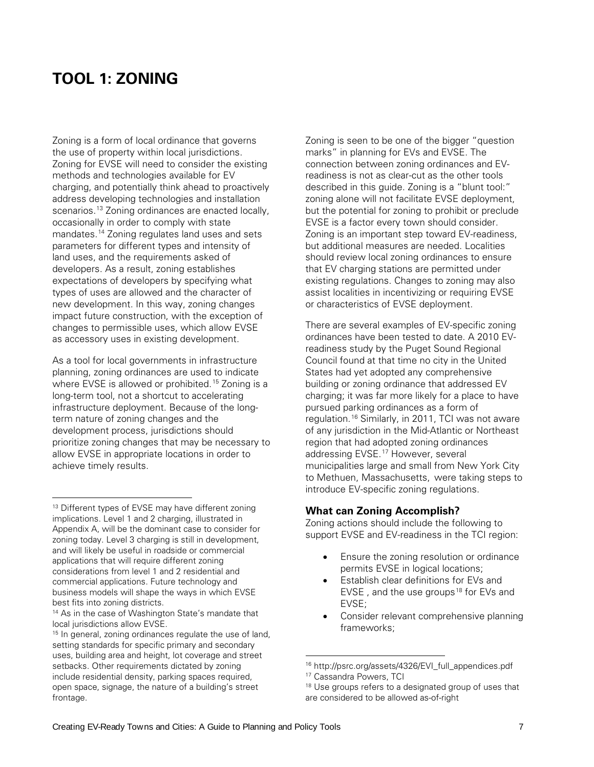# <span id="page-14-0"></span>**TOOL 1: ZONING**

Zoning is a form of local ordinance that governs the use of property within local jurisdictions. Zoning for EVSE will need to consider the existing methods and technologies available for EV charging, and potentially think ahead to proactively address developing technologies and installation scenarios.<sup>13</sup> Zoning ordinances are enacted locally, occasionally in order to comply with state mandates.[14](#page-14-2) Zoning regulates land uses and sets parameters for different types and intensity of land uses, and the requirements asked of developers. As a result, zoning establishes expectations of developers by specifying what types of uses are allowed and the character of new development. In this way, zoning changes impact future construction, with the exception of changes to permissible uses, which allow EVSE as accessory uses in existing development.

As a tool for local governments in infrastructure planning, zoning ordinances are used to indicate where EVSE is allowed or prohibited. [15](#page-14-3) Zoning is a long-term tool, not a shortcut to accelerating infrastructure deployment. Because of the longterm nature of zoning changes and the development process, jurisdictions should prioritize zoning changes that may be necessary to allow EVSE in appropriate locations in order to achieve timely results.

Zoning is seen to be one of the bigger "question marks" in planning for EVs and EVSE. The connection between zoning ordinances and EVreadiness is not as clear-cut as the other tools described in this guide. Zoning is a "blunt tool:" zoning alone will not facilitate EVSE deployment, but the potential for zoning to prohibit or preclude EVSE is a factor every town should consider. Zoning is an important step toward EV-readiness, but additional measures are needed. Localities should review local zoning ordinances to ensure that EV charging stations are permitted under existing regulations. Changes to zoning may also assist localities in incentivizing or requiring EVSE or characteristics of EVSE deployment.

There are several examples of EV-specific zoning ordinances have been tested to date. A 2010 EVreadiness study by the Puget Sound Regional Council found at that time no city in the United States had yet adopted any comprehensive building or zoning ordinance that addressed EV charging; it was far more likely for a place to have pursued parking ordinances as a form of regulation.[16](#page-14-4) Similarly, in 2011, TCI was not aware of any jurisdiction in the Mid-Atlantic or Northeast region that had adopted zoning ordinances addressing EVSE.<sup>[17](#page-14-5)</sup> However, several municipalities large and small from New York City to Methuen, Massachusetts, were taking steps to introduce EV-specific zoning regulations.

#### **What can Zoning Accomplish?**

Zoning actions should include the following to support EVSE and EV-readiness in the TCI region:

- Ensure the zoning resolution or ordinance permits EVSE in logical locations;
- Establish clear definitions for EVs and EVSE, and the use groups $18$  for EVs and EVSE;
- Consider relevant comprehensive planning frameworks;

<span id="page-14-1"></span><sup>&</sup>lt;sup>13</sup> Different types of EVSE may have different zoning implications. Level 1 and 2 charging, illustrated in Appendix A, will be the dominant case to consider for zoning today. Level 3 charging is still in development, and will likely be useful in roadside or commercial applications that will require different zoning considerations from level 1 and 2 residential and commercial applications. Future technology and business models will shape the ways in which EVSE best fits into zoning districts.

<span id="page-14-2"></span><sup>&</sup>lt;sup>14</sup> As in the case of Washington State's mandate that local jurisdictions allow EVSE.

<span id="page-14-6"></span><span id="page-14-5"></span><span id="page-14-4"></span><span id="page-14-3"></span><sup>&</sup>lt;sup>15</sup> In general, zoning ordinances regulate the use of land, setting standards for specific primary and secondary uses, building area and height, lot coverage and street setbacks. Other requirements dictated by zoning include residential density, parking spaces required, open space, signage, the nature of a building's street frontage.

 <sup>16</sup> http://psrc.org/assets/4326/EVI\_full\_appendices.pdf

<sup>&</sup>lt;sup>17</sup> Cassandra Powers, TCI

<sup>&</sup>lt;sup>18</sup> Use groups refers to a designated group of uses that are considered to be allowed as-of-right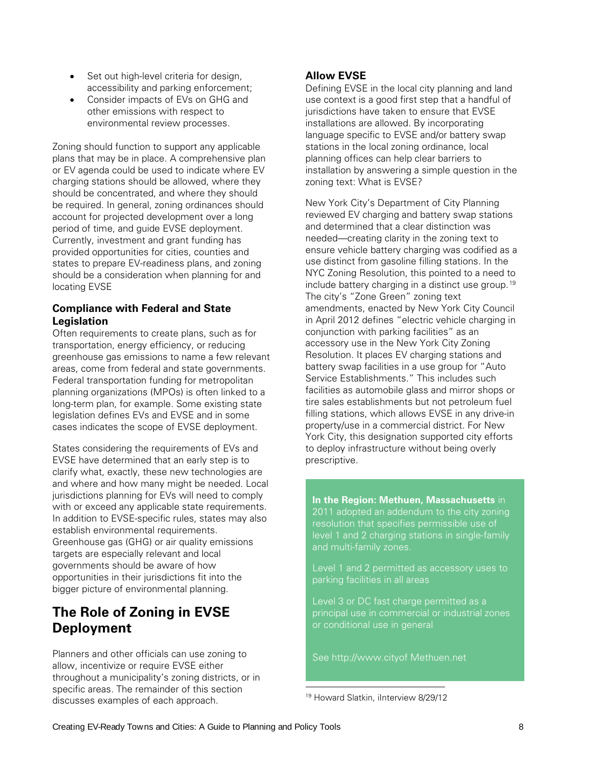- Set out high-level criteria for design, accessibility and parking enforcement;
- Consider impacts of EVs on GHG and other emissions with respect to environmental review processes.

Zoning should function to support any applicable plans that may be in place. A comprehensive plan or EV agenda could be used to indicate where EV charging stations should be allowed, where they should be concentrated, and where they should be required. In general, zoning ordinances should account for projected development over a long period of time, and guide EVSE deployment. Currently, investment and grant funding has provided opportunities for cities, counties and states to prepare EV-readiness plans, and zoning should be a consideration when planning for and locating EVSE

### **Compliance with Federal and State Legislation**

Often requirements to create plans, such as for transportation, energy efficiency, or reducing greenhouse gas emissions to name a few relevant areas, come from federal and state governments. Federal transportation funding for metropolitan planning organizations (MPOs) is often linked to a long-term plan, for example. Some existing state legislation defines EVs and EVSE and in some cases indicates the scope of EVSE deployment.

States considering the requirements of EVs and EVSE have determined that an early step is to clarify what, exactly, these new technologies are and where and how many might be needed. Local jurisdictions planning for EVs will need to comply with or exceed any applicable state requirements. In addition to EVSE-specific rules, states may also establish environmental requirements. Greenhouse gas (GHG) or air quality emissions targets are especially relevant and local governments should be aware of how opportunities in their jurisdictions fit into the bigger picture of environmental planning.

## **The Role of Zoning in EVSE Deployment**

<span id="page-15-0"></span>Planners and other officials can use zoning to allow, incentivize or require EVSE either throughout a municipality's zoning districts, or in specific areas. The remainder of this section discusses examples of each approach.

### **Allow EVSE**

Defining EVSE in the local city planning and land use context is a good first step that a handful of jurisdictions have taken to ensure that EVSE installations are allowed. By incorporating language specific to EVSE and/or battery swap stations in the local zoning ordinance, local planning offices can help clear barriers to installation by answering a simple question in the zoning text: What is EVSE?

New York City's Department of City Planning reviewed EV charging and battery swap stations and determined that a clear distinction was needed—creating clarity in the zoning text to ensure vehicle battery charging was codified as a use distinct from gasoline filling stations. In the NYC Zoning Resolution, this pointed to a need to include battery charging in a distinct use group.[19](#page-15-0) The city's "Zone Green" zoning text amendments, enacted by New York City Council in April 2012 defines "electric vehicle charging in conjunction with parking facilities" as an accessory use in the New York City Zoning Resolution. It places EV charging stations and battery swap facilities in a use group for "Auto Service Establishments." This includes such facilities as automobile glass and mirror shops or tire sales establishments but not petroleum fuel filling stations, which allows EVSE in any drive-in property/use in a commercial district. For New York City, this designation supported city efforts to deploy infrastructure without being overly prescriptive.

**In the Region: Methuen, Massachusetts** in 2011 adopted an addendum to the city zoning resolution that specifies permissible use of level 1 and 2 charging stations in single-family and multi-family zones.

Level 1 and 2 permitted as accessory uses to parking facilities in all areas

Level 3 or DC fast charge permitted as a principal use in commercial or industrial zones or conditional use in general

See http://www.cityof Methuen.net

<sup>19</sup> Howard Slatkin, iInterview 8/29/12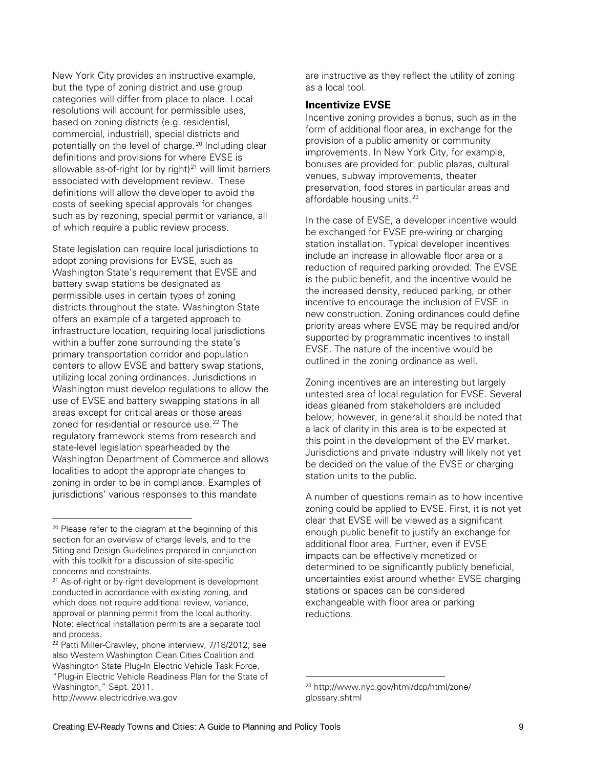New York City provides an instructive example, but the type of zoning district and use group categories will differ from place to place. Local resolutions will account for permissible uses, based on zoning districts (e.g. residential, commercial, industrial), special districts and potentially on the level of charge.<sup>[20](#page-16-0)</sup> Including clear definitions and provisions for where EVSE is allowable as-of-right (or by right)<sup>[21](#page-16-1)</sup> will limit barriers associated with development review. These definitions will allow the developer to avoid the costs of seeking special approvals for changes such as by rezoning, special permit or variance, all of which require a public review process.

State legislation can require local jurisdictions to adopt zoning provisions for EVSE, such as Washington State's requirement that EVSE and battery swap stations be designated as permissible uses in certain types of zoning districts throughout the state. Washington State offers an example of a targeted approach to infrastructure location, requiring local jurisdictions within a buffer zone surrounding the state's primary transportation corridor and population centers to allow EVSE and battery swap stations, utilizing local zoning ordinances. Jurisdictions in Washington must develop regulations to allow the use of EVSE and battery swapping stations in all areas except for critical areas or those areas zoned for residential or resource use. [22](#page-16-2) The regulatory framework stems from research and state-level legislation spearheaded by the Washington Department of Commerce and allows localities to adopt the appropriate changes to zoning in order to be in compliance. Examples of jurisdictions' various responses to this mandate

are instructive as they reflect the utility of zoning as a local tool.

#### **Incentivize EVSE**

Incentive zoning provides a bonus, such as in the form of additional floor area, in exchange for the provision of a public amenity or community improvements. In New York City, for example, bonuses are provided for: public plazas, cultural venues, subway improvements, theater preservation, food stores in particular areas and affordable housing units.<sup>[23](#page-16-3)</sup>

In the case of EVSE, a developer incentive would be exchanged for EVSE pre-wiring or charging station installation. Typical developer incentives include an increase in allowable floor area or a reduction of required parking provided. The EVSE is the public benefit, and the incentive would be the increased density, reduced parking, or other incentive to encourage the inclusion of EVSE in new construction. Zoning ordinances could define priority areas where EVSE may be required and/or supported by programmatic incentives to install EVSE. The nature of the incentive would be outlined in the zoning ordinance as well.

Zoning incentives are an interesting but largely untested area of local regulation for EVSE. Several ideas gleaned from stakeholders are included below; however, in general it should be noted that a lack of clarity in this area is to be expected at this point in the development of the EV market. Jurisdictions and private industry will likely not yet be decided on the value of the EVSE or charging station units to the public.

A number of questions remain as to how incentive zoning could be applied to EVSE. First, it is not yet clear that EVSE will be viewed as a significant enough public benefit to justify an exchange for additional floor area. Further, even if EVSE impacts can be effectively monetized or determined to be significantly publicly beneficial, uncertainties exist around whether EVSE charging stations or spaces can be considered exchangeable with floor area or parking reductions.

<span id="page-16-0"></span><sup>&</sup>lt;sup>20</sup> Please refer to the diagram at the beginning of this section for an overview of charge levels, and to the Siting and Design Guidelines prepared in conjunction with this toolkit for a discussion of site-specific concerns and constraints.

<span id="page-16-1"></span><sup>&</sup>lt;sup>21</sup> As-of-right or by-right development is development conducted in accordance with existing zoning, and which does not require additional review, variance, approval or planning permit from the local authority. Note: electrical installation permits are a separate tool and process.

<span id="page-16-2"></span><sup>&</sup>lt;sup>22</sup> Patti Miller-Crawley, phone interview, 7/18/2012; see also Western Washington Clean Cities Coalition and Washington State Plug-In Electric Vehicle Task Force, "Plug-in Electric Vehicle Readiness Plan for the State of Washington," Sept. 2011.

<span id="page-16-3"></span>http://www.electricdrive.wa.gov

 <sup>23</sup> http://www.nyc.gov/html/dcp/html/zone/ glossary.shtml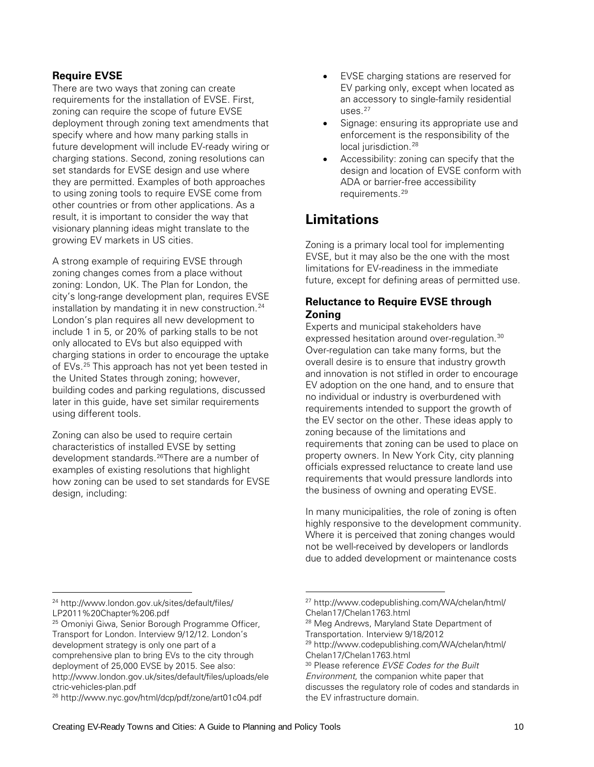### **Require EVSE**

There are two ways that zoning can create requirements for the installation of EVSE. First, zoning can require the scope of future EVSE deployment through zoning text amendments that specify where and how many parking stalls in future development will include EV-ready wiring or charging stations. Second, zoning resolutions can set standards for EVSE design and use where they are permitted. Examples of both approaches to using zoning tools to require EVSE come from other countries or from other applications. As a result, it is important to consider the way that visionary planning ideas might translate to the growing EV markets in US cities.

A strong example of requiring EVSE through zoning changes comes from a place without zoning: London, UK. The Plan for London, the city's long-range development plan, requires EVSE installation by mandating it in new construction.<sup>[24](#page-17-0)</sup> London's plan requires all new development to include 1 in 5, or 20% of parking stalls to be not only allocated to EVs but also equipped with charging stations in order to encourage the uptake of EVs.<sup>[25](#page-17-1)</sup> This approach has not yet been tested in the United States through zoning; however, building codes and parking regulations, discussed later in this guide, have set similar requirements using different tools.

Zoning can also be used to require certain characteristics of installed EVSE by setting development standards. [26](#page-17-2) There are a number of examples of existing resolutions that highlight how zoning can be used to set standards for EVSE design, including:

- EVSE charging stations are reserved for EV parking only, except when located as an accessory to single-family residential uses.[27](#page-17-0)
- Signage: ensuring its appropriate use and enforcement is the responsibility of the local jurisdiction.<sup>[28](#page-17-1)</sup>
- Accessibility: zoning can specify that the design and location of EVSE conform with ADA or barrier-free accessibility requirements.[29](#page-17-3)

### **Limitations**

Zoning is a primary local tool for implementing EVSE, but it may also be the one with the most limitations for EV-readiness in the immediate future, except for defining areas of permitted use.

### **Reluctance to Require EVSE through Zoning**

Experts and municipal stakeholders have expressed hesitation around over-regulation.[30](#page-17-4) Over-regulation can take many forms, but the overall desire is to ensure that industry growth and innovation is not stifled in order to encourage EV adoption on the one hand, and to ensure that no individual or industry is overburdened with requirements intended to support the growth of the EV sector on the other. These ideas apply to zoning because of the limitations and requirements that zoning can be used to place on property owners. In New York City, city planning officials expressed reluctance to create land use requirements that would pressure landlords into the business of owning and operating EVSE.

In many municipalities, the role of zoning is often highly responsive to the development community. Where it is perceived that zoning changes would not be well-received by developers or landlords due to added development or maintenance costs

<span id="page-17-0"></span> <sup>24</sup> http://www.london.gov.uk/sites/default/files/ LP2011%20Chapter%206.pdf

<span id="page-17-3"></span><span id="page-17-1"></span><sup>25</sup> Omoniyi Giwa, Senior Borough Programme Officer, Transport for London. Interview 9/12/12. London's development strategy is only one part of a comprehensive plan to bring EVs to the city through deployment of 25,000 EVSE by 2015. See also: http://www.london.gov.uk/sites/default/files/uploads/ele ctric-vehicles-plan.pdf

<span id="page-17-4"></span><span id="page-17-2"></span><sup>26</sup> http://www.nyc.gov/html/dcp/pdf/zone/art01c04.pdf

 <sup>27</sup> http://www.codepublishing.com/WA/chelan/html/ Chelan17/Chelan1763.html

<sup>&</sup>lt;sup>28</sup> Meg Andrews, Maryland State Department of Transportation. Interview 9/18/2012

<sup>29</sup> http://www.codepublishing.com/WA/chelan/html/ Chelan17/Chelan1763.html

<sup>30</sup> Please reference *EVSE Codes for the Built Environment*, the companion white paper that discusses the regulatory role of codes and standards in the EV infrastructure domain.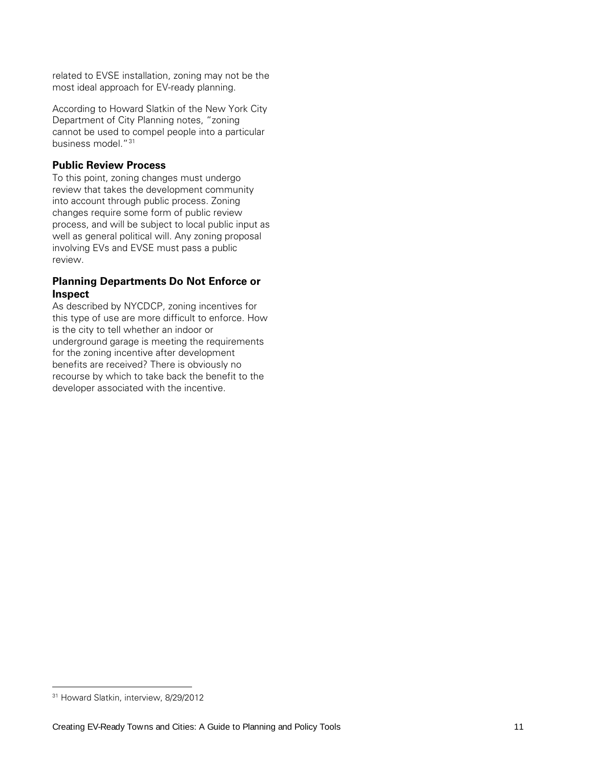related to EVSE installation, zoning may not be the most ideal approach for EV-ready planning.

According to Howard Slatkin of the New York City Department of City Planning notes, "zoning cannot be used to compel people into a particular business model."[31](#page-18-0)

### **Public Review Process**

To this point, zoning changes must undergo review that takes the development community into account through public process. Zoning changes require some form of public review process, and will be subject to local public input as well as general political will. Any zoning proposal involving EVs and EVSE must pass a public review.

### **Planning Departments Do Not Enforce or Inspect**

As described by NYCDCP, zoning incentives for this type of use are more difficult to enforce. How is the city to tell whether an indoor or underground garage is meeting the requirements for the zoning incentive after development benefits are received? There is obviously no recourse by which to take back the benefit to the developer associated with the incentive.

<span id="page-18-0"></span> <sup>31</sup> Howard Slatkin, interview, 8/29/2012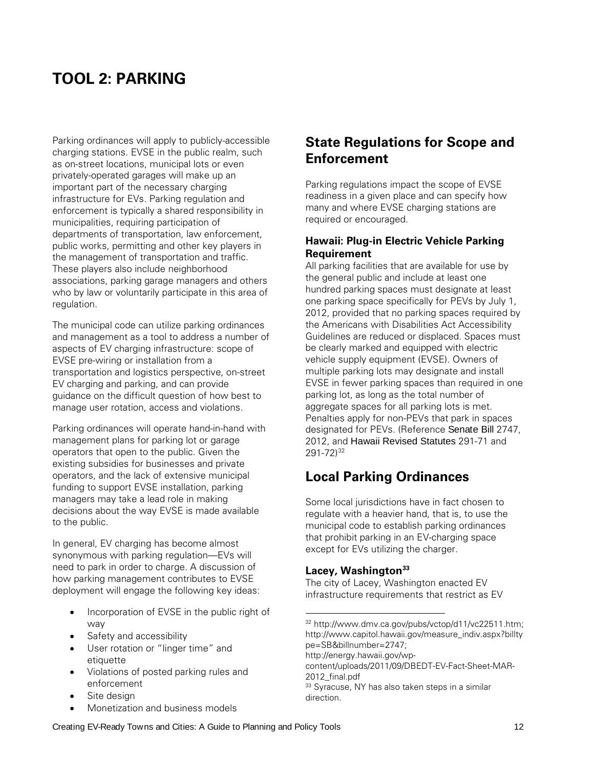# <span id="page-19-0"></span>**TOOL 2: PARKING**

Parking ordinances will apply to publicly-accessible charging stations. EVSE in the public realm, such as on-street locations, municipal lots or even privately-operated garages will make up an important part of the necessary charging infrastructure for EVs. Parking regulation and enforcement is typically a shared responsibility in municipalities, requiring participation of departments of transportation, law enforcement, public works, permitting and other key players in the management of transportation and traffic. These players also include neighborhood associations, parking garage managers and others who by law or voluntarily participate in this area of regulation.

The municipal code can utilize parking ordinances and management as a tool to address a number of aspects of EV charging infrastructure: scope of EVSE pre-wiring or installation from a transportation and logistics perspective, on-street EV charging and parking, and can provide guidance on the difficult question of how best to manage user rotation, access and violations.

Parking ordinances will operate hand-in-hand with management plans for parking lot or garage operators that open to the public. Given the existing subsidies for businesses and private operators, and the lack of extensive municipal funding to support EVSE installation, parking managers may take a lead role in making decisions about the way EVSE is made available to the public.

In general, EV charging has become almost synonymous with parking regulation—EVs will need to park in order to charge. A discussion of how parking management contributes to EVSE deployment will engage the following key ideas:

- <span id="page-19-1"></span>• Incorporation of EVSE in the public right of way
- Safety and accessibility
- User rotation or "linger time" and etiquette
- Violations of posted parking rules and enforcement
- Site design
- <span id="page-19-2"></span>• Monetization and business models

### **State Regulations for Scope and Enforcement**

Parking regulations impact the scope of EVSE readiness in a given place and can specify how many and where EVSE charging stations are required or encouraged.

### **Hawaii: Plug-in Electric Vehicle Parking Requirement**

All parking facilities that are available for use by the general public and include at least one hundred parking spaces must designate at least one parking space specifically for PEVs by July 1, 2012, provided that no parking spaces required by the Americans with Disabilities Act Accessibility Guidelines are reduced or displaced. Spaces must be clearly marked and equipped with electric vehicle supply equipment (EVSE). Owners of multiple parking lots may designate and install EVSE in fewer parking spaces than required in one parking lot, as long as the total number of aggregate spaces for all parking lots is met. Penalties apply for non-PEVs that park in spaces designated for PEVs. (Reference Senate Bill 2747, 2012, and Hawaii Revised Statutes 291-71 and 291-72)[32](#page-19-1)

### **Local Parking Ordinances**

Some local jurisdictions have in fact chosen to regulate with a heavier hand, that is, to use the municipal code to establish parking ordinances that prohibit parking in an EV-charging space except for EVs utilizing the charger.

#### **Lacey, Washington[33](#page-19-2)**

The city of Lacey, Washington enacted EV infrastructure requirements that restrict as EV

http://energy.hawaii.gov/wp-

direction.

content/uploads/2011/09/DBEDT-EV-Fact-Sheet-MAR-2012\_final.pdf 33 Syracuse, NY has also taken steps in a similar

 <sup>32</sup> http://www.dmv.ca.gov/pubs/vctop/d11/vc22511.htm; http://www.capitol.hawaii.gov/measure\_indiv.aspx?billty pe=SB&billnumber=2747;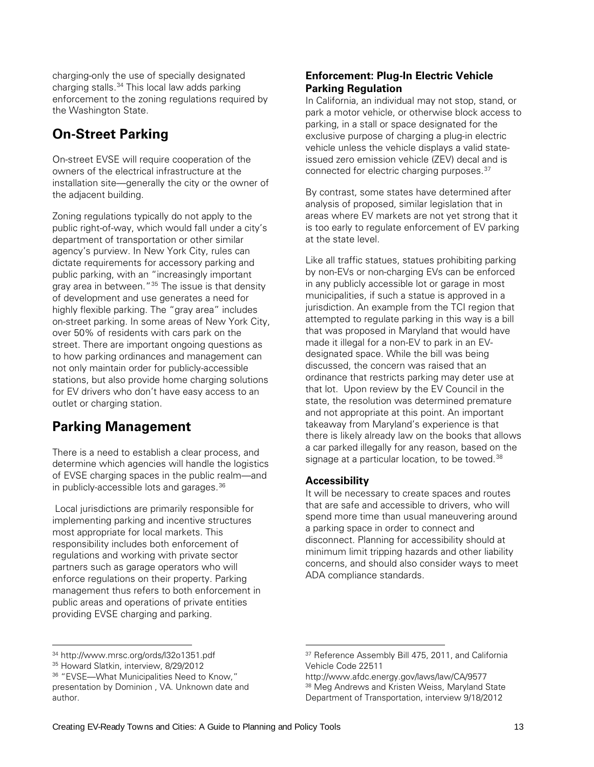charging-only the use of specially designated charging stalls.<sup>[34](#page-20-0)</sup> This local law adds parking enforcement to the zoning regulations required by the Washington State.

## **On-Street Parking**

On-street EVSE will require cooperation of the owners of the electrical infrastructure at the installation site—generally the city or the owner of the adjacent building.

Zoning regulations typically do not apply to the public right-of-way, which would fall under a city's department of transportation or other similar agency's purview. In New York City, rules can dictate requirements for accessory parking and public parking, with an "increasingly important gray area in between."<sup>[35](#page-20-1)</sup> The issue is that density of development and use generates a need for highly flexible parking. The "gray area" includes on-street parking. In some areas of New York City, over 50% of residents with cars park on the street. There are important ongoing questions as to how parking ordinances and management can not only maintain order for publicly-accessible stations, but also provide home charging solutions for EV drivers who don't have easy access to an outlet or charging station.

### **Parking Management**

There is a need to establish a clear process, and determine which agencies will handle the logistics of EVSE charging spaces in the public realm—and in publicly-accessible lots and garages. [36](#page-20-2)

Local jurisdictions are primarily responsible for implementing parking and incentive structures most appropriate for local markets. This responsibility includes both enforcement of regulations and working with private sector partners such as garage operators who will enforce regulations on their property. Parking management thus refers to both enforcement in public areas and operations of private entities providing EVSE charging and parking.

### **Enforcement: Plug-In Electric Vehicle Parking Regulation**

In California, an individual may not stop, stand, or park a motor vehicle, or otherwise block access to parking, in a stall or space designated for the exclusive purpose of charging a plug-in electric vehicle unless the vehicle displays a valid stateissued zero emission vehicle (ZEV) decal and is connected for electric charging purposes.[37](#page-20-0)

By contrast, some states have determined after analysis of proposed, similar legislation that in areas where EV markets are not yet strong that it is too early to regulate enforcement of EV parking at the state level.

Like all traffic statues, statues prohibiting parking by non-EVs or non-charging EVs can be enforced in any publicly accessible lot or garage in most municipalities, if such a statue is approved in a jurisdiction. An example from the TCI region that attempted to regulate parking in this way is a bill that was proposed in Maryland that would have made it illegal for a non-EV to park in an EVdesignated space. While the bill was being discussed, the concern was raised that an ordinance that restricts parking may deter use at that lot. Upon review by the EV Council in the state, the resolution was determined premature and not appropriate at this point. An important takeaway from Maryland's experience is that there is likely already law on the books that allows a car parked illegally for any reason, based on the signage at a particular location, to be towed.<sup>[38](#page-20-3)</sup>

### **Accessibility**

It will be necessary to create spaces and routes that are safe and accessible to drivers, who will spend more time than usual maneuvering around a parking space in order to connect and disconnect. Planning for accessibility should at minimum limit tripping hazards and other liability concerns, and should also consider ways to meet ADA compliance standards.

<span id="page-20-0"></span> <sup>34</sup> http://www.mrsc.org/ords/l32o1351.pdf

<span id="page-20-1"></span><sup>35</sup> Howard Slatkin, interview, 8/29/2012

<span id="page-20-3"></span><span id="page-20-2"></span><sup>36</sup> "EVSE—What Municipalities Need to Know," presentation by Dominion , VA. Unknown date and author.

<sup>&</sup>lt;sup>37</sup> Reference [Assembly Bill](http://www.leginfo.ca.gov/) 475, 2011, and California [Vehicle Code](http://www.oal.ca.gov/) 22511

http://www.afdc.energy.gov/laws/law/CA/9577 38 Meg Andrews and Kristen Weiss, Maryland State Department of Transportation, interview 9/18/2012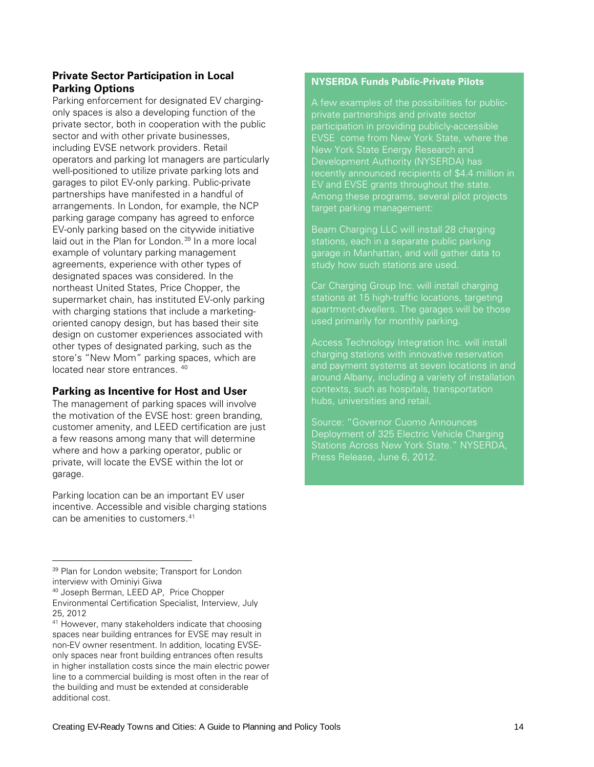### **Private Sector Participation in Local Parking Options**

Parking enforcement for designated EV chargingonly spaces is also a developing function of the private sector, both in cooperation with the public sector and with other private businesses, including EVSE network providers. Retail operators and parking lot managers are particularly well-positioned to utilize private parking lots and garages to pilot EV-only parking. Public-private partnerships have manifested in a handful of arrangements. In London, for example, the NCP parking garage company has agreed to enforce EV-only parking based on the citywide initiative laid out in the Plan for London.<sup>[39](#page-21-0)</sup> In a more local example of voluntary parking management agreements, experience with other types of designated spaces was considered. In the northeast United States, Price Chopper, the supermarket chain, has instituted EV-only parking with charging stations that include a marketingoriented canopy design, but has based their site design on customer experiences associated with other types of designated parking, such as the store's "New Mom" parking spaces, which are located near store entrances.  $40$ 

#### **Parking as Incentive for Host and User**

The management of parking spaces will involve the motivation of the EVSE host: green branding, customer amenity, and LEED certification are just a few reasons among many that will determine where and how a parking operator, public or private, will locate the EVSE within the lot or garage.

Parking location can be an important EV user incentive. Accessible and visible charging stations can be amenities to customers. [41](#page-21-2)

### **NYSERDA Funds Public-Private Pilots**

A few examples of the possibilities for publicprivate partnerships and private sector participation in providing publicly-accessible New York State Energy Research and Development Authority (NYSERDA) has recently announced recipients of \$4.4 million in EV and EVSE grants throughout the state. Among these programs, several pilot projects target parking management:

Beam Charging LLC will install 28 charging stations, each in a separate public parking garage in Manhattan, and will gather data to study how such stations are used.

Car Charging Group Inc. will install charging stations at 15 high-traffic locations, targeting apartment-dwellers. The garages will be those used primarily for monthly parking.

Access Technology Integration Inc. will install charging stations with innovative reservation and payment systems at seven locations in and around Albany, including a variety of installation contexts, such as hospitals, transportation hubs, universities and retail.

Source: "Governor Cuomo Announces Deployment of 325 Electric Vehicle Charging Stations Across New York State." NYSERDA, Press Release, June 6, 2012.

<span id="page-21-0"></span><sup>&</sup>lt;sup>39</sup> Plan for London website; Transport for London interview with Ominiyi Giwa

<span id="page-21-1"></span><sup>40</sup> Joseph Berman, LEED AP, Price Chopper Environmental Certification Specialist, Interview, July 25, 2012

<span id="page-21-2"></span><sup>41</sup> However, many stakeholders indicate that choosing spaces near building entrances for EVSE may result in non-EV owner resentment. In addition, locating EVSEonly spaces near front building entrances often results in higher installation costs since the main electric power line to a commercial building is most often in the rear of the building and must be extended at considerable additional cost.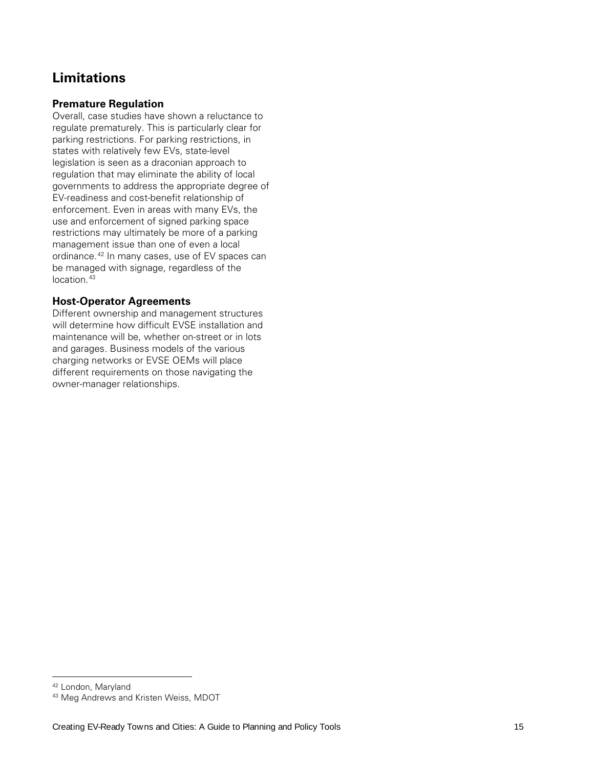### **Limitations**

### **Premature Regulation**

Overall, case studies have shown a reluctance to regulate prematurely. This is particularly clear for parking restrictions. For parking restrictions, in states with relatively few EVs, state-level legislation is seen as a draconian approach to regulation that may eliminate the ability of local governments to address the appropriate degree of EV-readiness and cost-benefit relationship of enforcement. Even in areas with many EVs, the use and enforcement of signed parking space restrictions may ultimately be more of a parking management issue than one of even a local ordinance.[42](#page-22-0) In many cases, use of EV spaces can be managed with signage, regardless of the location.<sup>[43](#page-22-1)</sup>

### **Host-Operator Agreements**

Different ownership and management structures will determine how difficult EVSE installation and maintenance will be, whether on-street or in lots and garages. Business models of the various charging networks or EVSE OEMs will place different requirements on those navigating the owner-manager relationships.

<span id="page-22-0"></span> <sup>42</sup> London, Maryland

<span id="page-22-1"></span><sup>43</sup> Meg Andrews and Kristen Weiss, MDOT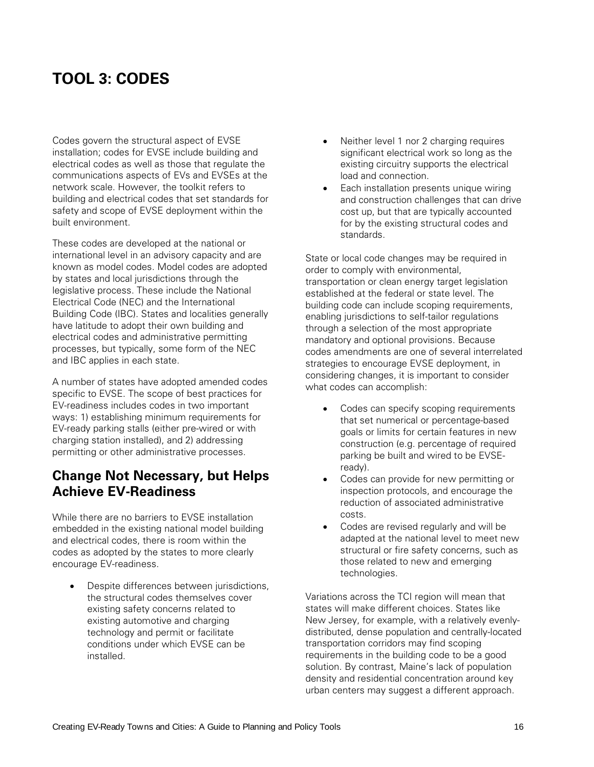# <span id="page-23-0"></span>**TOOL 3: CODES**

Codes govern the structural aspect of EVSE installation; codes for EVSE include building and electrical codes as well as those that regulate the communications aspects of EVs and EVSEs at the network scale. However, the toolkit refers to building and electrical codes that set standards for safety and scope of EVSE deployment within the built environment.

These codes are developed at the national or international level in an advisory capacity and are known as model codes. Model codes are adopted by states and local jurisdictions through the legislative process. These include the National Electrical Code (NEC) and the International Building Code (IBC). States and localities generally have latitude to adopt their own building and electrical codes and administrative permitting processes, but typically, some form of the NEC and IBC applies in each state.

A number of states have adopted amended codes specific to EVSE. The scope of best practices for EV-readiness includes codes in two important ways: 1) establishing minimum requirements for EV-ready parking stalls (either pre-wired or with charging station installed), and 2) addressing permitting or other administrative processes.

### **Change Not Necessary, but Helps Achieve EV-Readiness**

While there are no barriers to EVSE installation embedded in the existing national model building and electrical codes, there is room within the codes as adopted by the states to more clearly encourage EV-readiness.

Despite differences between jurisdictions. the structural codes themselves cover existing safety concerns related to existing automotive and charging technology and permit or facilitate conditions under which EVSE can be installed.

- Neither level 1 nor 2 charging requires significant electrical work so long as the existing circuitry supports the electrical load and connection.
- Each installation presents unique wiring and construction challenges that can drive cost up, but that are typically accounted for by the existing structural codes and standards.

State or local code changes may be required in order to comply with environmental, transportation or clean energy target legislation established at the federal or state level. The building code can include scoping requirements, enabling jurisdictions to self-tailor regulations through a selection of the most appropriate mandatory and optional provisions. Because codes amendments are one of several interrelated strategies to encourage EVSE deployment, in considering changes, it is important to consider what codes can accomplish:

- Codes can specify scoping requirements that set numerical or percentage-based goals or limits for certain features in new construction (e.g. percentage of required parking be built and wired to be EVSEready).
- Codes can provide for new permitting or inspection protocols, and encourage the reduction of associated administrative costs.
- Codes are revised regularly and will be adapted at the national level to meet new structural or fire safety concerns, such as those related to new and emerging technologies.

Variations across the TCI region will mean that states will make different choices. States like New Jersey, for example, with a relatively evenlydistributed, dense population and centrally-located transportation corridors may find scoping requirements in the building code to be a good solution. By contrast, Maine's lack of population density and residential concentration around key urban centers may suggest a different approach.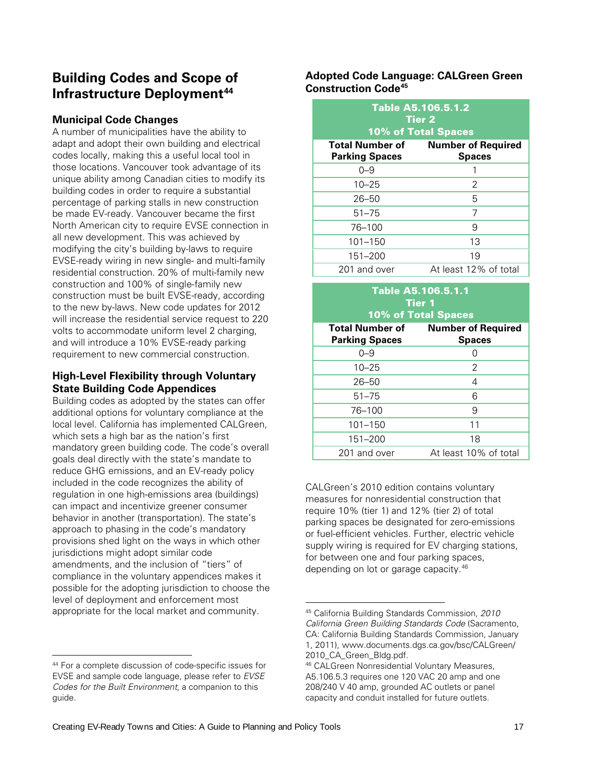### **Building Codes and Scope of Infrastructure Deployment[44](#page-24-0)**

### **Municipal Code Changes**

A number of municipalities have the ability to adapt and adopt their own building and electrical codes locally, making this a useful local tool in those locations. Vancouver took advantage of its unique ability among Canadian cities to modify its building codes in order to require a substantial percentage of parking stalls in new construction be made EV-ready. Vancouver became the first North American city to require EVSE connection in all new development. This was achieved by modifying the city's building by-laws to require EVSE-ready wiring in new single- and multi-family residential construction. 20% of multi-family new construction and 100% of single-family new construction must be built EVSE-ready, according to the new by-laws. New code updates for 2012 will increase the residential service request to 220 volts to accommodate uniform level 2 charging, and will introduce a 10% EVSE-ready parking requirement to new commercial construction.

### **High-Level Flexibility through Voluntary State Building Code Appendices**

Building codes as adopted by the states can offer additional options for voluntary compliance at the local level. California has implemented CALGreen, which sets a high bar as the nation's first mandatory green building code. The code's overall goals deal directly with the state's mandate to reduce GHG emissions, and an EV-ready policy included in the code recognizes the ability of regulation in one high-emissions area (buildings) can impact and incentivize greener consumer behavior in another (transportation). The state's approach to phasing in the code's mandatory provisions shed light on the ways in which other jurisdictions might adopt similar code amendments, and the inclusion of "tiers" of compliance in the voluntary appendices makes it possible for the adopting jurisdiction to choose the level of deployment and enforcement most appropriate for the local market and community.

#### **Adopted Code Language: CALGreen Green Construction Code[45](#page-24-1)**

| Table A5.106.5.1.2<br>Tier 2<br><b>10% of Total Spaces</b> |                                            |  |  |  |  |
|------------------------------------------------------------|--------------------------------------------|--|--|--|--|
| <b>Total Number of</b><br><b>Parking Spaces</b>            | <b>Number of Required</b><br><b>Spaces</b> |  |  |  |  |
| $0 - 9$                                                    |                                            |  |  |  |  |
| $10 - 25$                                                  | 2                                          |  |  |  |  |
| $26 - 50$                                                  | 5                                          |  |  |  |  |
| $51 - 75$                                                  | 7                                          |  |  |  |  |
| 76-100                                                     | 9                                          |  |  |  |  |
| $101 - 150$                                                | 13                                         |  |  |  |  |
| 151-200                                                    | 19                                         |  |  |  |  |
| 201 and over                                               | At least 12% of total                      |  |  |  |  |

### Table A5.106.5.1.1 Tier 1 10% of Total Spaces

| <b>Total Number of</b><br><b>Parking Spaces</b> | <b>Number of Required</b><br><b>Spaces</b> |
|-------------------------------------------------|--------------------------------------------|
| 0-9                                             |                                            |
| $10 - 25$                                       | 2                                          |
| $26 - 50$                                       | 4                                          |
| $51 - 75$                                       | 6                                          |
| 76-100                                          | 9                                          |
| $101 - 150$                                     | 11                                         |
| 151-200                                         | 18                                         |
| 201 and over                                    | At least 10% of total                      |

CALGreen's 2010 edition contains voluntary measures for nonresidential construction that require 10% (tier 1) and 12% (tier 2) of total parking spaces be designated for zero-emissions or fuel-efficient vehicles. Further, electric vehicle supply wiring is required for EV charging stations, for between one and four parking spaces, depending on lot or garage capacity.[46](#page-24-0)

<span id="page-24-1"></span><span id="page-24-0"></span> <sup>44</sup> For a complete discussion of code-specific issues for EVSE and sample code language, please refer to *EVSE Codes for the Built Environment*, a companion to this guide.

 <sup>45</sup> California Building Standards Commission, *<sup>2010</sup> California Green Building Standards Code* (Sacramento, CA: California Building Standards Commission, January 1, 2011), www.documents.dgs.ca.gov/bsc/CALGreen/ 2010\_CA\_Green\_Bldg.pdf.

<sup>46</sup> CALGreen Nonresidential Voluntary Measures, A5.106.5.3 requires one 120 VAC 20 amp and one 208/240 V 40 amp, grounded AC outlets or panel capacity and conduit installed for future outlets.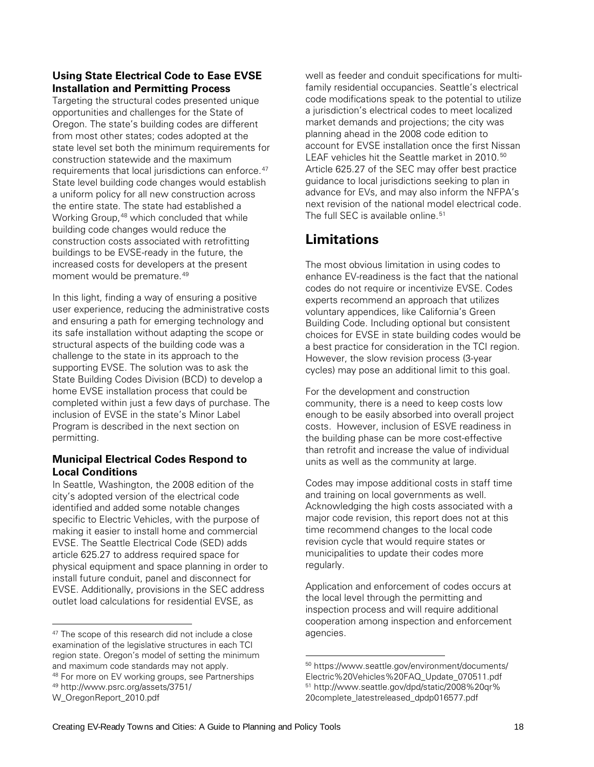### **Using State Electrical Code to Ease EVSE Installation and Permitting Process**

Targeting the structural codes presented unique opportunities and challenges for the State of Oregon. The state's building codes are different from most other states; codes adopted at the state level set both the minimum requirements for construction statewide and the maximum requirements that local jurisdictions can enforce.<sup>[47](#page-25-0)</sup> State level building code changes would establish a uniform policy for all new construction across the entire state. The state had established a Working Group, <sup>[48](#page-25-1)</sup> which concluded that while building code changes would reduce the construction costs associated with retrofitting buildings to be EVSE-ready in the future, the increased costs for developers at the present moment would be premature.<sup>[49](#page-25-2)</sup>

In this light, finding a way of ensuring a positive user experience, reducing the administrative costs and ensuring a path for emerging technology and its safe installation without adapting the scope or structural aspects of the building code was a challenge to the state in its approach to the supporting EVSE. The solution was to ask the State Building Codes Division (BCD) to develop a home EVSE installation process that could be completed within just a few days of purchase. The inclusion of EVSE in the state's Minor Label Program is described in the next section on permitting.

### **Municipal Electrical Codes Respond to Local Conditions**

In Seattle, Washington, the 2008 edition of the city's adopted version of the electrical code identified and added some notable changes specific to Electric Vehicles, with the purpose of making it easier to install home and commercial EVSE. The Seattle Electrical Code (SED) adds article 625.27 to address required space for physical equipment and space planning in order to install future conduit, panel and disconnect for EVSE. Additionally, provisions in the SEC address outlet load calculations for residential EVSE, as

well as feeder and conduit specifications for multifamily residential occupancies. Seattle's electrical code modifications speak to the potential to utilize a jurisdiction's electrical codes to meet localized market demands and projections; the city was planning ahead in the 2008 code edition to account for EVSE installation once the first Nissan LEAF vehicles hit the Seattle market in 2010.<sup>[50](#page-25-3)</sup> Article 625.27 of the SEC may offer best practice guidance to local jurisdictions seeking to plan in advance for EVs, and may also inform the NFPA's next revision of the national model electrical code. The full SEC is available online.  $51$ 

### **Limitations**

The most obvious limitation in using codes to enhance EV-readiness is the fact that the national codes do not require or incentivize EVSE. Codes experts recommend an approach that utilizes voluntary appendices, like California's Green Building Code. Including optional but consistent choices for EVSE in state building codes would be a best practice for consideration in the TCI region. However, the slow revision process (3-year cycles) may pose an additional limit to this goal.

For the development and construction community, there is a need to keep costs low enough to be easily absorbed into overall project costs. However, inclusion of ESVE readiness in the building phase can be more cost-effective than retrofit and increase the value of individual units as well as the community at large.

Codes may impose additional costs in staff time and training on local governments as well. Acknowledging the high costs associated with a major code revision, this report does not at this time recommend changes to the local code revision cycle that would require states or municipalities to update their codes more regularly.

Application and enforcement of codes occurs at the local level through the permitting and inspection process and will require additional cooperation among inspection and enforcement agencies.

<span id="page-25-0"></span><sup>&</sup>lt;sup>47</sup> The scope of this research did not include a close examination of the legislative structures in each TCI region state. Oregon's model of setting the minimum and maximum code standards may not apply.

<span id="page-25-3"></span><span id="page-25-1"></span><sup>48</sup> For more on EV working groups, see Partnerships

<span id="page-25-2"></span><sup>49</sup> [http://www.psrc.org/assets/3751/](http://www.psrc.org/assets/3751/W_OregonReport_2010.pdf)

[W\\_OregonReport\\_2010.pdf](http://www.psrc.org/assets/3751/W_OregonReport_2010.pdf)

 <sup>50</sup> https://www.seattle.gov/environment/documents/ Electric%20Vehicles%20FAQ\_Update\_070511.pdf <sup>51</sup> http://www.seattle.gov/dpd/static/2008%20qr% 20complete\_latestreleased\_dpdp016577.pdf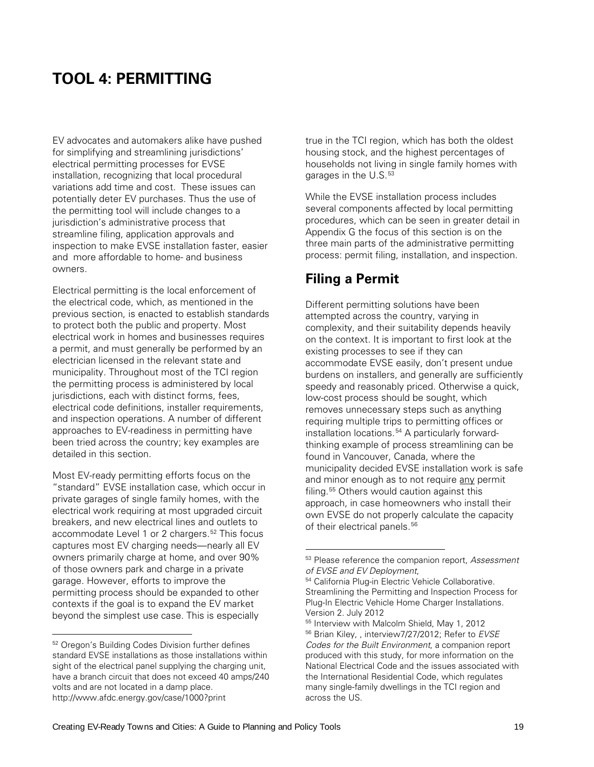# <span id="page-26-0"></span>**TOOL 4: PERMITTING**

EV advocates and automakers alike have pushed for simplifying and streamlining jurisdictions' electrical permitting processes for EVSE installation, recognizing that local procedural variations add time and cost. These issues can potentially deter EV purchases. Thus the use of the permitting tool will include changes to a jurisdiction's administrative process that streamline filing, application approvals and inspection to make EVSE installation faster, easier and more affordable to home- and business owners.

Electrical permitting is the local enforcement of the electrical code, which, as mentioned in the previous section, is enacted to establish standards to protect both the public and property. Most electrical work in homes and businesses requires a permit, and must generally be performed by an electrician licensed in the relevant state and municipality. Throughout most of the TCI region the permitting process is administered by local jurisdictions, each with distinct forms, fees, electrical code definitions, installer requirements, and inspection operations. A number of different approaches to EV-readiness in permitting have been tried across the country; key examples are detailed in this section.

<span id="page-26-2"></span>Most EV-ready permitting efforts focus on the "standard" EVSE installation case, which occur in private garages of single family homes, with the electrical work requiring at most upgraded circuit breakers, and new electrical lines and outlets to accommodate Level 1 or 2 chargers.<sup>[52](#page-26-1)</sup> This focus captures most EV charging needs—nearly all EV owners primarily charge at home, and over 90% of those owners park and charge in a private garage. However, efforts to improve the permitting process should be expanded to other contexts if the goal is to expand the EV market beyond the simplest use case. This is especially

true in the TCI region, which has both the oldest housing stock, and the highest percentages of households not living in single family homes with garages in the U.S.<sup>[53](#page-26-2)</sup>

While the EVSE installation process includes several components affected by local permitting procedures, which can be seen in greater detail in Appendix G the focus of this section is on the three main parts of the administrative permitting process: permit filing, installation, and inspection.

### **Filing a Permit**

Different permitting solutions have been attempted across the country, varying in complexity, and their suitability depends heavily on the context. It is important to first look at the existing processes to see if they can accommodate EVSE easily, don't present undue burdens on installers, and generally are sufficiently speedy and reasonably priced. Otherwise a quick, low-cost process should be sought, which removes unnecessary steps such as anything requiring multiple trips to permitting offices or installation locations.<sup>[54](#page-26-3)</sup> A particularly forwardthinking example of process streamlining can be found in Vancouver, Canada, where the municipality decided EVSE installation work is safe and minor enough as to not require any permit filing. [55](#page-26-4) Others would caution against this approach, in case homeowners who install their own EVSE do not properly calculate the capacity of their electrical panels. [56](#page-26-5)

<span id="page-26-5"></span><span id="page-26-4"></span><span id="page-26-3"></span><span id="page-26-1"></span> <sup>52</sup> Oregon's Building Codes Division further defines standard EVSE installations as those installations within sight of the electrical panel supplying the charging unit, have a branch circuit that does not exceed 40 amps/240 volts and are not located in a damp place. <http://www.afdc.energy.gov/case/1000?print>

 <sup>53</sup> Please reference the companion report, *Assessment of EVSE and EV Deployment*,

<sup>54</sup> California Plug-in Electric Vehicle Collaborative. Streamlining the Permitting and Inspection Process for Plug-In Electric Vehicle Home Charger Installations. Version 2. July 2012

<sup>55</sup> Interview with Malcolm Shield, May 1, 2012 <sup>56</sup> Brian Kiley, , interview7/27/2012; Refer to *EVSE Codes for the Built Environment*, a companion report produced with this study, for more information on the National Electrical Code and the issues associated with the International Residential Code, which regulates many single-family dwellings in the TCI region and across the US.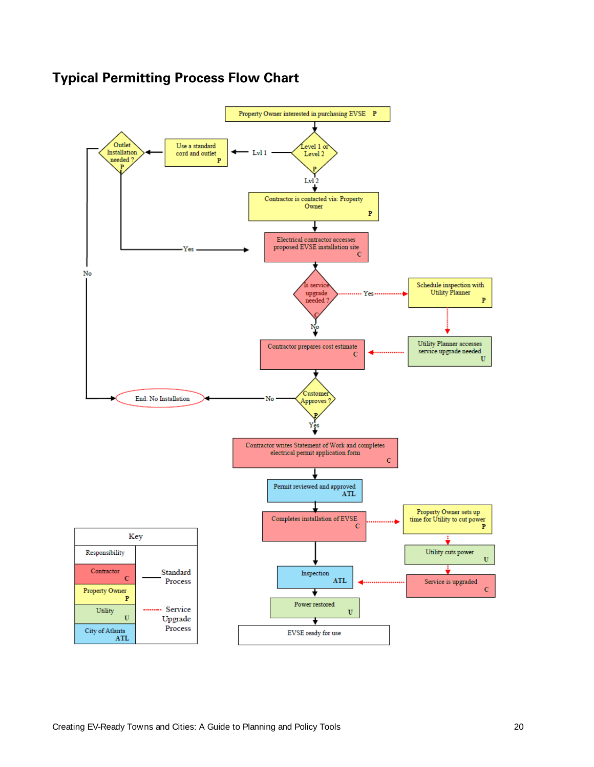## **Typical Permitting Process Flow Chart**

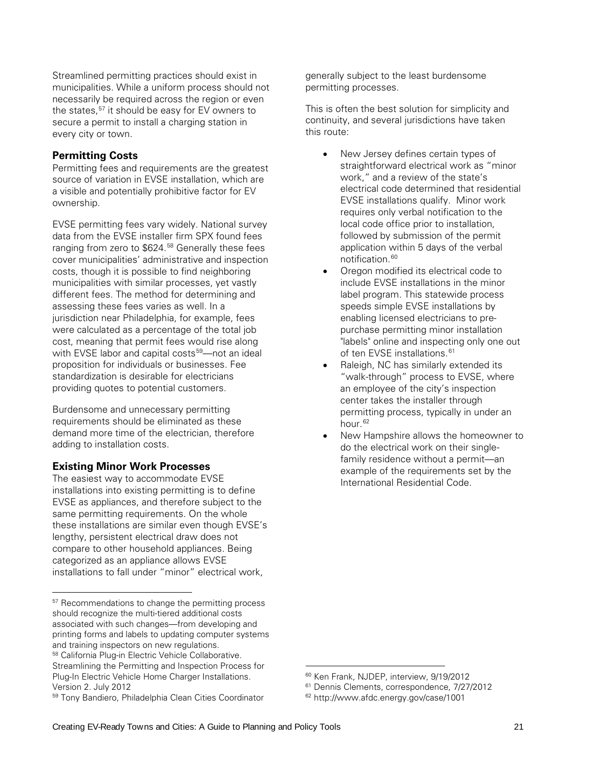Streamlined permitting practices should exist in municipalities. While a uniform process should not necessarily be required across the region or even the states,<sup>[57](#page-28-0)</sup> it should be easy for EV owners to secure a permit to install a charging station in every city or town.

### **Permitting Costs**

Permitting fees and requirements are the greatest source of variation in EVSE installation, which are a visible and potentially prohibitive factor for EV ownership.

EVSE permitting fees vary widely. National survey data from the EVSE installer firm SPX found fees ranging from zero to \$624.<sup>[58](#page-28-1)</sup> Generally these fees cover municipalities' administrative and inspection costs, though it is possible to find neighboring municipalities with similar processes, yet vastly different fees. The method for determining and assessing these fees varies as well. In a jurisdiction near Philadelphia, for example, fees were calculated as a percentage of the total job cost, meaning that permit fees would rise along with EVSE labor and capital costs<sup>[59](#page-28-2)</sup>—not an ideal proposition for individuals or businesses. Fee standardization is desirable for electricians providing quotes to potential customers.

Burdensome and unnecessary permitting requirements should be eliminated as these demand more time of the electrician, therefore adding to installation costs.

### **Existing Minor Work Processes**

The easiest way to accommodate EVSE installations into existing permitting is to define EVSE as appliances, and therefore subject to the same permitting requirements. On the whole these installations are similar even though EVSE's lengthy, persistent electrical draw does not compare to other household appliances. Being categorized as an appliance allows EVSE installations to fall under "minor" electrical work,

generally subject to the least burdensome permitting processes.

This is often the best solution for simplicity and continuity, and several jurisdictions have taken this route:

- New Jersey defines certain types of straightforward electrical work as "minor work," and a review of the state's electrical code determined that residential EVSE installations qualify. Minor work requires only verbal notification to the local code office prior to installation, followed by submission of the permit application within 5 days of the verbal notification.<sup>[60](#page-28-3)</sup>
- Oregon modified its electrical code to include EVSE installations in the minor label program. This statewide process speeds simple EVSE installations by enabling licensed electricians to prepurchase permitting minor installation "labels" online and inspecting only one out of ten EVSE installations.<sup>[61](#page-28-4)</sup>
- Raleigh, NC has similarly extended its "walk-through" process to EVSE, where an employee of the city's inspection center takes the installer through permitting process, typically in under an hour.[62](#page-28-2)
- New Hampshire allows the homeowner to do the electrical work on their singlefamily residence without a permit—an example of the requirements set by the International Residential Code.

<span id="page-28-0"></span><sup>&</sup>lt;sup>57</sup> Recommendations to change the permitting process should recognize the multi-tiered additional costs associated with such changes—from developing and printing forms and labels to updating computer systems and training inspectors on new regulations.

<span id="page-28-1"></span><sup>58</sup> California Plug-in Electric Vehicle Collaborative. Streamlining the Permitting and Inspection Process for Plug-In Electric Vehicle Home Charger Installations. Version 2. July 2012

<span id="page-28-4"></span><span id="page-28-3"></span><span id="page-28-2"></span><sup>59</sup> Tony Bandiero, Philadelphia Clean Cities Coordinator

 <sup>60</sup> Ken Frank, NJDEP, interview, 9/19/2012

<sup>61</sup> Dennis Clements, correspondence, 7/27/2012

<sup>62</sup> http://www.afdc.energy.gov/case/1001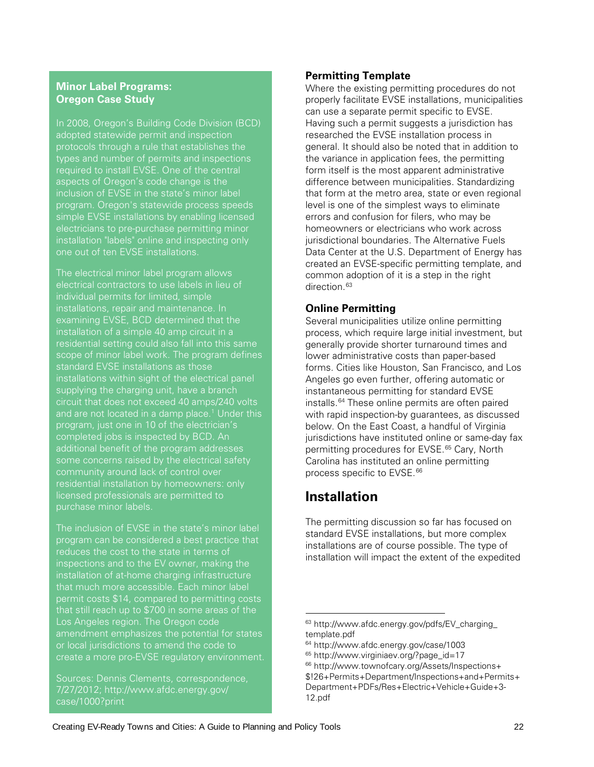### **Minor Label Programs: Oregon Case Study**

In 2008, Oregon's Building Code Division (BCD) adopted statewide permit and inspection protocols through a rule that establishes the types and number of permits and inspections required to install EVSE. One of the central aspects of Oregon's code change is the inclusion of EVSE in the state's minor label program. Oregon's statewide process speeds simple EVSE installations by enabling licensed electricians to pre-purchase permitting minor installation "labels" online and inspecting only one out of ten EVSE installations.

The electrical minor label program allows electrical contractors to use labels in lieu of individual permits for limited, simple installations, repair and maintenance. In examining EVSE, BCD determined that the installation of a simple 40 amp circuit in a residential setting could also fall into this same scope of minor label work. The program defines standard EVSE installations as those installations within sight of the electrical panel supplying the charging unit, have a branch circuit that does not exceed 40 amps/240 volts and are not located in a damp place.<sup>1</sup> Under this program, just one in 10 of the electrician's completed jobs is inspected by BCD. An additional benefit of the program addresses community around lack of control over residential installation by homeowners: only licensed professionals are permitted to purchase minor labels.

The inclusion of EVSE in the state's minor label program can be considered a best practice that reduces the cost to the state in terms of inspections and to the EV owner, making the installation of at-home charging infrastructure that much more accessible. Each minor label permit costs \$14, compared to permitting costs that still reach up to \$700 in some areas of the Los Angeles region. The Oregon code amendment emphasizes the potential for states or local jurisdictions to amend the code to create a more pro-EVSE regulatory environment.

<span id="page-29-3"></span><span id="page-29-2"></span><span id="page-29-1"></span><span id="page-29-0"></span>Sources: Dennis Clements, correspondence, 7/27/2012; [http://www.afdc.energy.gov/](http://www.afdc.energy.gov/case/1000?print) [case/1000?print](http://www.afdc.energy.gov/case/1000?print)

#### **Permitting Template**

Where the existing permitting procedures do not properly facilitate EVSE installations, municipalities can use a separate permit specific to EVSE. Having such a permit suggests a jurisdiction has researched the EVSE installation process in general. It should also be noted that in addition to the variance in application fees, the permitting form itself is the most apparent administrative difference between municipalities. Standardizing that form at the metro area, state or even regional level is one of the simplest ways to eliminate errors and confusion for filers, who may be homeowners or electricians who work across jurisdictional boundaries. The Alternative Fuels Data Center at the U.S. Department of Energy has created an EVSE-specific permitting template, and common adoption of it is a step in the right direction.<sup>[63](#page-29-0)</sup>

#### **Online Permitting**

Several municipalities utilize online permitting process, which require large initial investment, but generally provide shorter turnaround times and lower administrative costs than paper-based forms. Cities like Houston, San Francisco, and Los Angeles go even further, offering automatic or instantaneous permitting for standard EVSE installs.[64](#page-29-1) These online permits are often paired with rapid inspection-by guarantees, as discussed below. On the East Coast, a handful of Virginia jurisdictions have instituted online or same-day fax permitting procedures for EVSE.<sup>[65](#page-29-2)</sup> Cary, North Carolina has instituted an online permitting process specific to EVSE.<sup>[66](#page-29-3)</sup>

### **Installation**

The permitting discussion so far has focused on standard EVSE installations, but more complex installations are of course possible. The type of installation will impact the extent of the expedited

 <sup>63</sup> http://www.afdc.energy.gov/pdfs/EV\_charging\_ template.pdf

<sup>64</sup> http://www.afdc.energy.gov/case/1003

<sup>65</sup> http://www.virginiaev.org/?page\_id=17

<sup>66</sup> http://www.townofcary.org/Assets/Inspections+ \$!26+Permits+Department/Inspections+and+Permits+ Department+PDFs/Res+Electric+Vehicle+Guide+3- 12.pdf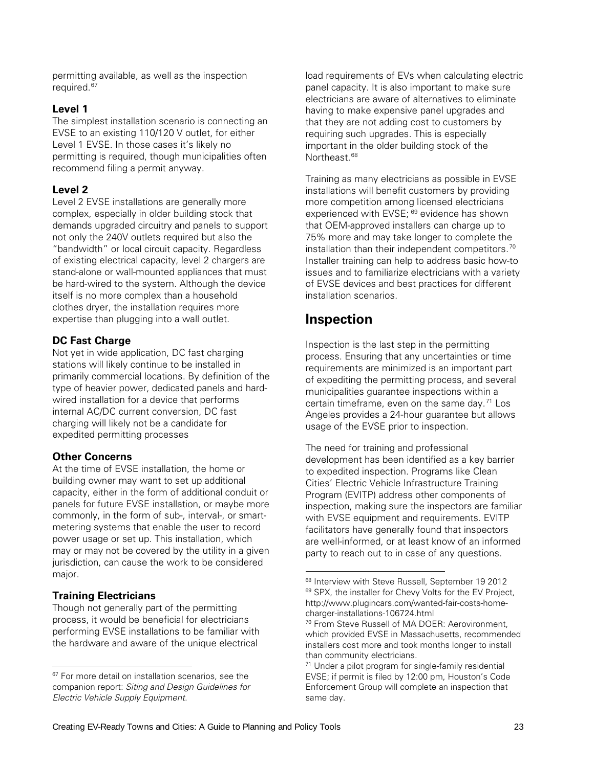permitting available, as well as the inspection required.<sup>[67](#page-30-0)</sup>

#### **Level 1**

The simplest installation scenario is connecting an EVSE to an existing 110/120 V outlet, for either Level 1 EVSE. In those cases it's likely no permitting is required, though municipalities often recommend filing a permit anyway.

### **Level 2**

Level 2 EVSE installations are generally more complex, especially in older building stock that demands upgraded circuitry and panels to support not only the 240V outlets required but also the "bandwidth" or local circuit capacity. Regardless of existing electrical capacity, level 2 chargers are stand-alone or wall-mounted appliances that must be hard-wired to the system. Although the device itself is no more complex than a household clothes dryer, the installation requires more expertise than plugging into a wall outlet.

### **DC Fast Charge**

Not yet in wide application, DC fast charging stations will likely continue to be installed in primarily commercial locations. By definition of the type of heavier power, dedicated panels and hardwired installation for a device that performs internal AC/DC current conversion, DC fast charging will likely not be a candidate for expedited permitting processes

### **Other Concerns**

At the time of EVSE installation, the home or building owner may want to set up additional capacity, either in the form of additional conduit or panels for future EVSE installation, or maybe more commonly, in the form of sub-, interval-, or smartmetering systems that enable the user to record power usage or set up. This installation, which may or may not be covered by the utility in a given jurisdiction, can cause the work to be considered major.

### <span id="page-30-2"></span><span id="page-30-1"></span>**Training Electricians**

<span id="page-30-3"></span>Though not generally part of the permitting process, it would be beneficial for electricians performing EVSE installations to be familiar with the hardware and aware of the unique electrical

load requirements of EVs when calculating electric panel capacity. It is also important to make sure electricians are aware of alternatives to eliminate having to make expensive panel upgrades and that they are not adding cost to customers by requiring such upgrades. This is especially important in the older building stock of the Northeast<sup>[68](#page-30-1)</sup>

Training as many electricians as possible in EVSE installations will benefit customers by providing more competition among licensed electricians experienced with EVSE; <sup>[69](#page-30-2)</sup> evidence has shown that OEM-approved installers can charge up to 75% more and may take longer to complete the installation than their independent competitors. [70](#page-30-3) Installer training can help to address basic how-to issues and to familiarize electricians with a variety of EVSE devices and best practices for different installation scenarios.

### **Inspection**

Inspection is the last step in the permitting process. Ensuring that any uncertainties or time requirements are minimized is an important part of expediting the permitting process, and several municipalities guarantee inspections within a certain timeframe, even on the same day.[71](#page-30-4) Los Angeles provides a 24-hour guarantee but allows usage of the EVSE prior to inspection.

The need for training and professional development has been identified as a key barrier to expedited inspection. Programs like Clean Cities' Electric Vehicle Infrastructure Training Program (EVITP) address other components of inspection, making sure the inspectors are familiar with EVSE equipment and requirements. EVITP facilitators have generally found that inspectors are well-informed, or at least know of an informed party to reach out to in case of any questions.

<span id="page-30-4"></span><span id="page-30-0"></span><sup>&</sup>lt;sup>67</sup> For more detail on installation scenarios, see the companion report: *Siting and Design Guidelines for Electric Vehicle Supply Equipment*.

 <sup>68</sup> Interview with Steve Russell, September 19 2012 <sup>69</sup> SPX, the installer for Chevy Volts for the EV Project, http://www.plugincars.com/wanted-fair-costs-homecharger-installations-106724.html

<sup>70</sup> From Steve Russell of MA DOER: Aerovironment, which provided EVSE in Massachusetts, recommended installers cost more and took months longer to install than community electricians.

<sup>71</sup> Under a pilot program for single-family residential EVSE; if permit is filed by 12:00 pm, Houston's Code Enforcement Group will complete an inspection that same day.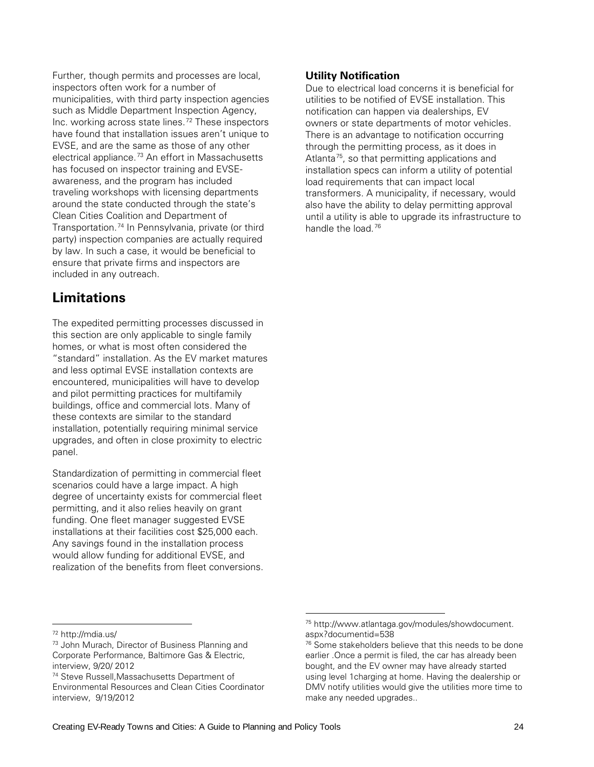Further, though permits and processes are local, inspectors often work for a number of municipalities, with third party inspection agencies such as Middle Department Inspection Agency, Inc. working across state lines.<sup>[72](#page-31-0)</sup> These inspectors have found that installation issues aren't unique to EVSE, and are the same as those of any other electrical appliance.<sup>[73](#page-31-1)</sup> An effort in Massachusetts has focused on inspector training and EVSEawareness, and the program has included traveling workshops with licensing departments around the state conducted through the state's Clean Cities Coalition and Department of Transportation.[74](#page-31-2) In Pennsylvania, private (or third party) inspection companies are actually required by law. In such a case, it would be beneficial to ensure that private firms and inspectors are included in any outreach.

### **Limitations**

The expedited permitting processes discussed in this section are only applicable to single family homes, or what is most often considered the "standard" installation. As the EV market matures and less optimal EVSE installation contexts are encountered, municipalities will have to develop and pilot permitting practices for multifamily buildings, office and commercial lots. Many of these contexts are similar to the standard installation, potentially requiring minimal service upgrades, and often in close proximity to electric panel.

Standardization of permitting in commercial fleet scenarios could have a large impact. A high degree of uncertainty exists for commercial fleet permitting, and it also relies heavily on grant funding. One fleet manager suggested EVSE installations at their facilities cost \$25,000 each. Any savings found in the installation process would allow funding for additional EVSE, and realization of the benefits from fleet conversions.

### **Utility Notification**

Due to electrical load concerns it is beneficial for utilities to be notified of EVSE installation. This notification can happen via dealerships, EV owners or state departments of motor vehicles. There is an advantage to notification occurring through the permitting process, as it does in Atlanta<sup>[75](#page-31-3)</sup>, so that permitting applications and installation specs can inform a utility of potential load requirements that can impact local transformers. A municipality, if necessary, would also have the ability to delay permitting approval until a utility is able to upgrade its infrastructure to handle the load.[76](#page-31-1)

<span id="page-31-3"></span><span id="page-31-0"></span> <sup>72</sup> http://mdia.us/

<span id="page-31-1"></span><sup>73</sup> John Murach, Director of Business Planning and Corporate Performance, Baltimore Gas & Electric, interview, 9/20/ 2012

<span id="page-31-2"></span><sup>74</sup> Steve Russell,Massachusetts Department of Environmental Resources and Clean Cities Coordinator interview, 9/19/2012

 <sup>75</sup> http://www.atlantaga.gov/modules/showdocument. aspx?documentid=538

<sup>76</sup> Some stakeholders believe that this needs to be done earlier .Once a permit is filed, the car has already been bought, and the EV owner may have already started using level 1charging at home. Having the dealership or DMV notify utilities would give the utilities more time to make any needed upgrades..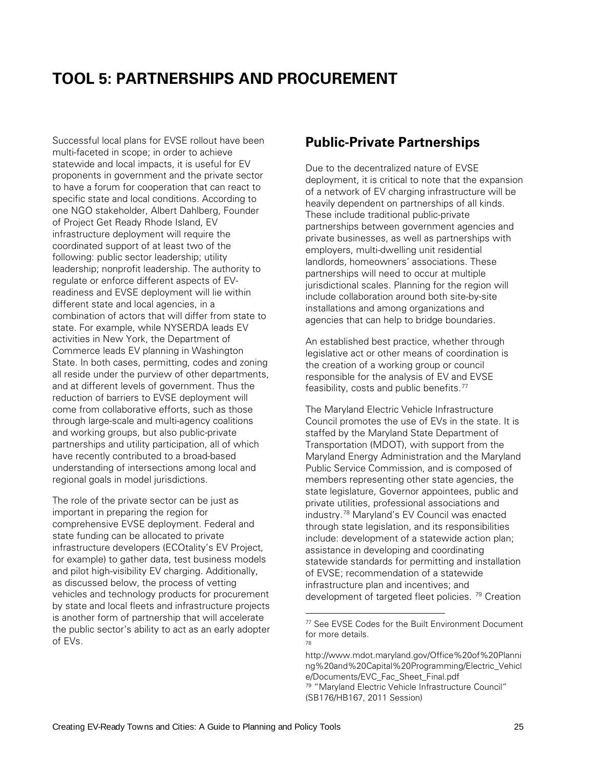# <span id="page-32-0"></span>**TOOL 5: PARTNERSHIPS AND PROCUREMENT**

Successful local plans for EVSE rollout have been multi-faceted in scope; in order to achieve statewide and local impacts, it is useful for EV proponents in government and the private sector to have a forum for cooperation that can react to specific state and local conditions. According to one NGO stakeholder, Albert Dahlberg, Founder of Project Get Ready Rhode Island, EV infrastructure deployment will require the coordinated support of at least two of the following: public sector leadership; utility leadership; nonprofit leadership. The authority to regulate or enforce different aspects of EVreadiness and EVSE deployment will lie within different state and local agencies, in a combination of actors that will differ from state to state. For example, while NYSERDA leads EV activities in New York, the Department of Commerce leads EV planning in Washington State. In both cases, permitting, codes and zoning all reside under the purview of other departments, and at different levels of government. Thus the reduction of barriers to EVSE deployment will come from collaborative efforts, such as those through large-scale and multi-agency coalitions and working groups, but also public-private partnerships and utility participation, all of which have recently contributed to a broad-based understanding of intersections among local and regional goals in model jurisdictions.

<span id="page-32-3"></span><span id="page-32-2"></span><span id="page-32-1"></span>The role of the private sector can be just as important in preparing the region for comprehensive EVSE deployment. Federal and state funding can be allocated to private infrastructure developers (ECOtality's EV Project, for example) to gather data, test business models and pilot high-visibility EV charging. Additionally, as discussed below, the process of vetting vehicles and technology products for procurement by state and local fleets and infrastructure projects is another form of partnership that will accelerate the public sector's ability to act as an early adopter of EVs.

### **Public-Private Partnerships**

Due to the decentralized nature of EVSE deployment, it is critical to note that the expansion of a network of EV charging infrastructure will be heavily dependent on partnerships of all kinds. These include traditional public-private partnerships between government agencies and private businesses, as well as partnerships with employers, multi-dwelling unit residential landlords, homeowners' associations. These partnerships will need to occur at multiple jurisdictional scales. Planning for the region will include collaboration around both site-by-site installations and among organizations and agencies that can help to bridge boundaries.

An established best practice, whether through legislative act or other means of coordination is the creation of a working group or council responsible for the analysis of EV and EVSE feasibility, costs and public benefits.<sup>[77](#page-32-1)</sup>

The Maryland Electric Vehicle Infrastructure Council promotes the use of EVs in the state. It is staffed by the Maryland State Department of Transportation (MDOT), with support from the Maryland Energy Administration and the Maryland Public Service Commission, and is composed of members representing other state agencies, the state legislature, Governor appointees, public and private utilities, professional associations and industry.[78](#page-32-2) Maryland's EV Council was enacted through state legislation, and its responsibilities include: development of a statewide action plan; assistance in developing and coordinating statewide standards for permitting and installation of EVSE; recommendation of a statewide infrastructure plan and incentives; and development of targeted fleet policies. [79](#page-32-3) Creation

78

 <sup>77</sup> See EVSE Codes for the Built Environment Document for more details.

http://www.mdot.maryland.gov/Office%20of%20Planni ng%20and%20Capital%20Programming/Electric\_Vehicl e/Documents/EVC\_Fac\_Sheet\_Final.pdf <sup>79</sup> "Maryland Electric Vehicle Infrastructure Council" (SB176/HB167, 2011 Session)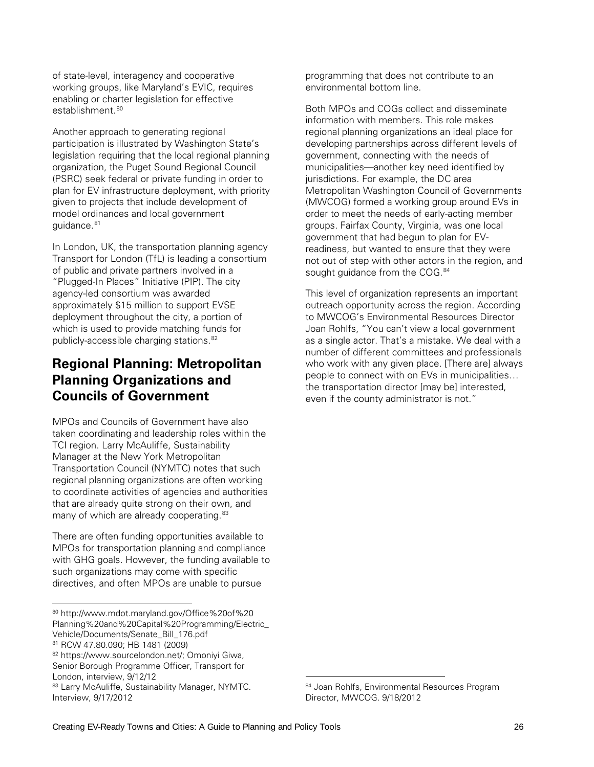of state-level, interagency and cooperative working groups, like Maryland's EVIC, requires enabling or charter legislation for effective establishment.[80](#page-33-0)

Another approach to generating regional participation is illustrated by Washington State's legislation requiring that the local regional planning organization, the Puget Sound Regional Council (PSRC) seek federal or private funding in order to plan for EV infrastructure deployment, with priority given to projects that include development of model ordinances and local government guidance.<sup>[81](#page-33-1)</sup>

In London, UK, the transportation planning agency Transport for London (TfL) is leading a consortium of public and private partners involved in a "Plugged-In Places" Initiative (PIP). The city agency-led consortium was awarded approximately \$15 million to support EVSE deployment throughout the city, a portion of which is used to provide matching funds for publicly-accessible charging stations.<sup>[82](#page-33-2)</sup>

### **Regional Planning: Metropolitan Planning Organizations and Councils of Government**

MPOs and Councils of Government have also taken coordinating and leadership roles within the TCI region. Larry McAuliffe, Sustainability Manager at the New York Metropolitan Transportation Council (NYMTC) notes that such regional planning organizations are often working to coordinate activities of agencies and authorities that are already quite strong on their own, and many of which are already cooperating.<sup>[83](#page-33-3)</sup>

There are often funding opportunities available to MPOs for transportation planning and compliance with GHG goals. However, the funding available to such organizations may come with specific directives, and often MPOs are unable to pursue

programming that does not contribute to an environmental bottom line.

Both MPOs and COGs collect and disseminate information with members. This role makes regional planning organizations an ideal place for developing partnerships across different levels of government, connecting with the needs of municipalities—another key need identified by jurisdictions. For example, the DC area Metropolitan Washington Council of Governments (MWCOG) formed a working group around EVs in order to meet the needs of early-acting member groups. Fairfax County, Virginia, was one local government that had begun to plan for EVreadiness, but wanted to ensure that they were not out of step with other actors in the region, and sought guidance from the COG.<sup>[84](#page-33-3)</sup>

This level of organization represents an important outreach opportunity across the region. According to MWCOG's Environmental Resources Director Joan Rohlfs, "You can't view a local government as a single actor. That's a mistake. We deal with a number of different committees and professionals who work with any given place. [There are] always people to connect with on EVs in municipalities… the transportation director [may be] interested, even if the county administrator is not."

<span id="page-33-0"></span> <sup>80</sup> [http://www.mdot.maryland.gov/Office%20of%20](http://www.mdot.maryland.gov/Office%20of%20Planning%20and%20Capital%20Programming/Electric_Vehicle/Documents/Senate_Bill_176.pdf) [Planning%20and%20Capital%20Programming/Electric\\_](http://www.mdot.maryland.gov/Office%20of%20Planning%20and%20Capital%20Programming/Electric_Vehicle/Documents/Senate_Bill_176.pdf)

[Vehicle/Documents/Senate\\_Bill\\_176.pdf](http://www.mdot.maryland.gov/Office%20of%20Planning%20and%20Capital%20Programming/Electric_Vehicle/Documents/Senate_Bill_176.pdf)

<span id="page-33-1"></span><sup>81</sup> RCW 47.80.090; HB 1481 (2009)

<span id="page-33-2"></span><sup>82</sup> https://www.sourcelondon.net/; Omoniyi Giwa, Senior Borough Programme Officer, Transport for London, interview, 9/12/12

<span id="page-33-3"></span><sup>83</sup> Larry McAuliffe, Sustainability Manager, NYMTC. Interview, 9/17/2012

<sup>84</sup> Joan Rohlfs, Environmental Resources Program Director, MWCOG. 9/18/2012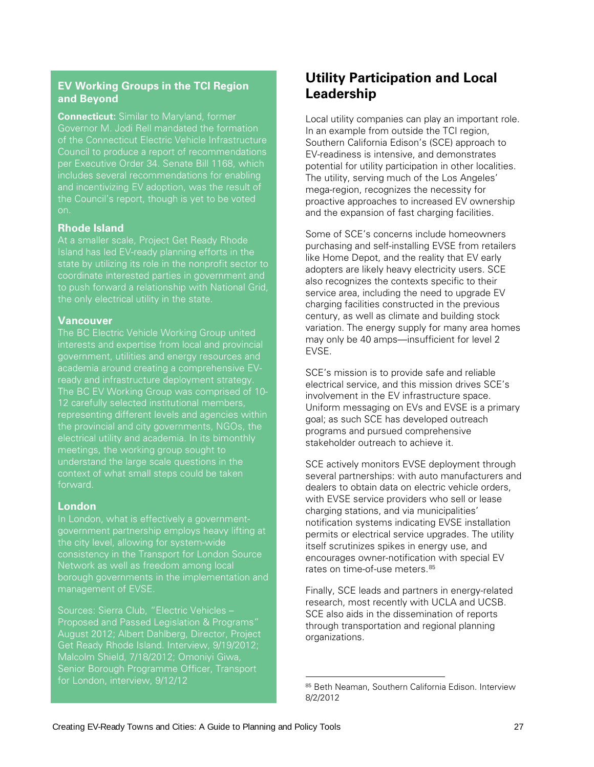### **EV Working Groups in the TCI Region and Beyond**

**Connecticut:** Similar to Maryland, former Governor M. Jodi Rell mandated the formation of the Connecticut Electric Vehicle Infrastructure Council to produce a report of recommendations per Executive Order 34. Senate Bill 1168, which includes several recommendations for enabling and incentivizing EV adoption, was the result of the Council's report, though is yet to be voted on.

#### **Rhode Island**

At a smaller scale, Project Get Ready Rhode Island has led EV-ready planning efforts in the state by utilizing its role in the nonprofit sector to coordinate interested parties in government and to push forward a relationship with National Grid,

#### **Vancouver**

The BC Electric Vehicle Working Group united interests and expertise from local and provincial government, utilities and energy resources and academia around creating a comprehensive EVready and infrastructure deployment strategy. The BC EV Working Group was comprised of 10- 12 carefully selected institutional members, representing different levels and agencies within the provincial and city governments, NGOs, the electrical utility and academia. In its bimonthly meetings, the working group sought to understand the large scale questions in the context of what small steps could be taken forward.

#### **London**

In London, what is effectively a governmentgovernment partnership employs heavy lifting at the city level, allowing for system-wide consistency in the Transport for London Source Network as well as freedom among local borough governments in the implementation and management of EVSE.

<span id="page-34-0"></span>Sources: Sierra Club, "Electric Vehicles – Proposed and Passed Legislation & Programs" August 2012; Albert Dahlberg, Director, Project Get Ready Rhode Island. Interview, 9/19/2012; Malcolm Shield, 7/18/2012; Omoniyi Giwa, Senior Borough Programme Officer, Transport for London, interview, 9/12/12

### **Utility Participation and Local Leadership**

Local utility companies can play an important role. In an example from outside the TCI region, Southern California Edison's (SCE) approach to EV-readiness is intensive, and demonstrates potential for utility participation in other localities. The utility, serving much of the Los Angeles' mega-region, recognizes the necessity for proactive approaches to increased EV ownership and the expansion of fast charging facilities.

Some of SCE's concerns include homeowners purchasing and self-installing EVSE from retailers like Home Depot, and the reality that EV early adopters are likely heavy electricity users. SCE also recognizes the contexts specific to their service area, including the need to upgrade EV charging facilities constructed in the previous century, as well as climate and building stock variation. The energy supply for many area homes may only be 40 amps—insufficient for level 2 EVSE.

SCE's mission is to provide safe and reliable electrical service, and this mission drives SCE's involvement in the EV infrastructure space. Uniform messaging on EVs and EVSE is a primary goal; as such SCE has developed outreach programs and pursued comprehensive stakeholder outreach to achieve it.

SCE actively monitors EVSE deployment through several partnerships: with auto manufacturers and dealers to obtain data on electric vehicle orders, with EVSE service providers who sell or lease charging stations, and via municipalities' notification systems indicating EVSE installation permits or electrical service upgrades. The utility itself scrutinizes spikes in energy use, and encourages owner-notification with special EV rates on time-of-use meters.<sup>[85](#page-34-0)</sup>

Finally, SCE leads and partners in energy-related research, most recently with UCLA and UCSB. SCE also aids in the dissemination of reports through transportation and regional planning organizations.

<sup>85</sup> Beth Neaman, Southern California Edison. Interview 8/2/2012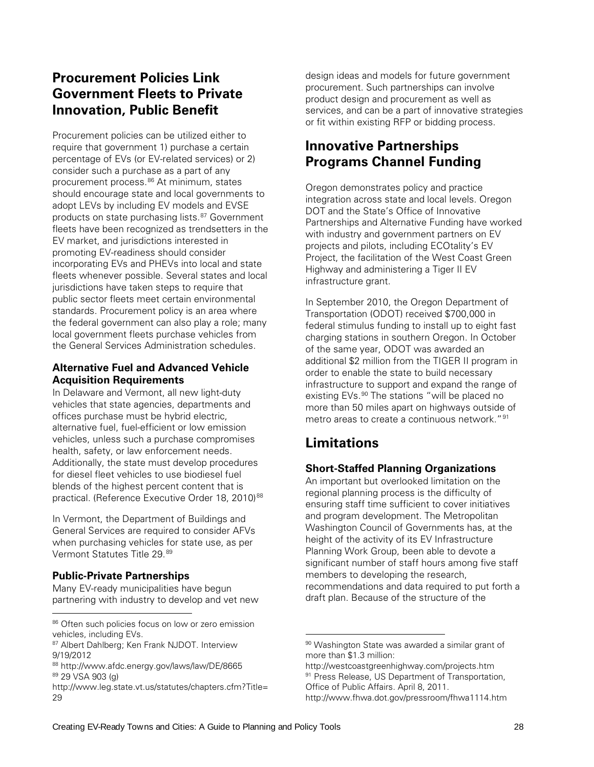### **Procurement Policies Link Government Fleets to Private Innovation, Public Benefit**

Procurement policies can be utilized either to require that government 1) purchase a certain percentage of EVs (or EV-related services) or 2) consider such a purchase as a part of any procurement process.<sup>[86](#page-35-0)</sup> At minimum, states should encourage state and local governments to adopt LEVs by including EV models and EVSE products on state purchasing lists.<sup>[87](#page-35-1)</sup> Government fleets have been recognized as trendsetters in the EV market, and jurisdictions interested in promoting EV-readiness should consider incorporating EVs and PHEVs into local and state fleets whenever possible. Several states and local jurisdictions have taken steps to require that public sector fleets meet certain environmental standards. Procurement policy is an area where the federal government can also play a role; many local government fleets purchase vehicles from the General Services Administration schedules.

### **Alternative Fuel and Advanced Vehicle Acquisition Requirements**

In Delaware and Vermont, all new light-duty vehicles that state agencies, departments and offices purchase must be hybrid electric, alternative fuel, fuel-efficient or low emission vehicles, unless such a purchase compromises health, safety, or law enforcement needs. Additionally, the state must develop procedures for diesel fleet vehicles to use biodiesel fuel blends of the highest percent content that is practical. (Reference Executive Order 18, 2010)<sup>[88](#page-35-2)</sup>

In Vermont, the Department of Buildings and General Services are required to consider AFVs when purchasing vehicles for state use, as per Vermont Statutes Title 29.[89](#page-35-3)

### **Public-Private Partnerships**

Many EV-ready municipalities have begun partnering with industry to develop and vet new design ideas and models for future government procurement. Such partnerships can involve product design and procurement as well as services, and can be a part of innovative strategies or fit within existing RFP or bidding process.

### **Innovative Partnerships Programs Channel Funding**

Oregon demonstrates policy and practice integration across state and local levels. Oregon DOT and the State's Office of Innovative Partnerships and Alternative Funding have worked with industry and government partners on EV projects and pilots, including ECOtality's EV Project, the facilitation of the West Coast Green Highway and administering a Tiger II EV infrastructure grant.

In September 2010, the Oregon Department of Transportation (ODOT) received \$700,000 in federal stimulus funding to install up to eight fast charging stations in southern Oregon. In October of the same year, ODOT was awarded an additional \$2 million from the TIGER II program in order to enable the state to build necessary infrastructure to support and expand the range of existing EVs.<sup>[90](#page-35-1)</sup> The stations "will be placed no more than 50 miles apart on highways outside of metro areas to create a continuous network."<sup>[91](#page-35-3)</sup>

# **Limitations**

### **Short-Staffed Planning Organizations**

An important but overlooked limitation on the regional planning process is the difficulty of ensuring staff time sufficient to cover initiatives and program development. The Metropolitan Washington Council of Governments has, at the height of the activity of its EV Infrastructure Planning Work Group, been able to devote a significant number of staff hours among five staff members to developing the research, recommendations and data required to put forth a draft plan. Because of the structure of the

<span id="page-35-0"></span><sup>86</sup> Often such policies focus on low or zero emission vehicles, including EVs.

<span id="page-35-1"></span><sup>87</sup> Albert Dahlberg; Ken Frank NJDOT. Interview 9/19/2012

<span id="page-35-2"></span><sup>88</sup> http://www.afdc.energy.gov/laws/law/DE/8665 <sup>89</sup> 29 VSA 903 (g)

<span id="page-35-3"></span>http://www.leg.state.vt.us/statutes/chapters.cfm?Title= 29

 <sup>90</sup> Washington State was awarded a similar grant of more than \$1.3 million:

<http://westcoastgreenhighway.com/projects.htm> 91 Press Release, US Department of Transportation, Office of Public Affairs. April 8, 2011. <http://www.fhwa.dot.gov/pressroom/fhwa1114.htm>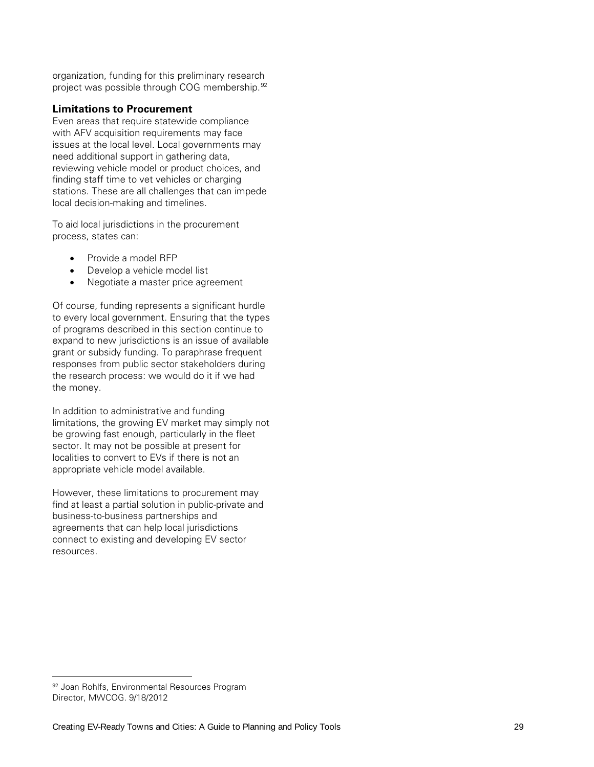organization, funding for this preliminary research project was possible through COG membership.<sup>[92](#page-36-0)</sup>

#### **Limitations to Procurement**

Even areas that require statewide compliance with AFV acquisition requirements may face issues at the local level. Local governments may need additional support in gathering data, reviewing vehicle model or product choices, and finding staff time to vet vehicles or charging stations. These are all challenges that can impede local decision-making and timelines.

To aid local jurisdictions in the procurement process, states can:

- Provide a model RFP
- Develop a vehicle model list
- Negotiate a master price agreement

Of course, funding represents a significant hurdle to every local government. Ensuring that the types of programs described in this section continue to expand to new jurisdictions is an issue of available grant or subsidy funding. To paraphrase frequent responses from public sector stakeholders during the research process: we would do it if we had the money.

In addition to administrative and funding limitations, the growing EV market may simply not be growing fast enough, particularly in the fleet sector. It may not be possible at present for localities to convert to EVs if there is not an appropriate vehicle model available.

However, these limitations to procurement may find at least a partial solution in public-private and business-to-business partnerships and agreements that can help local jurisdictions connect to existing and developing EV sector resources.

<span id="page-36-0"></span><sup>92</sup> Joan Rohlfs, Environmental Resources Program Director, MWCOG. 9/18/2012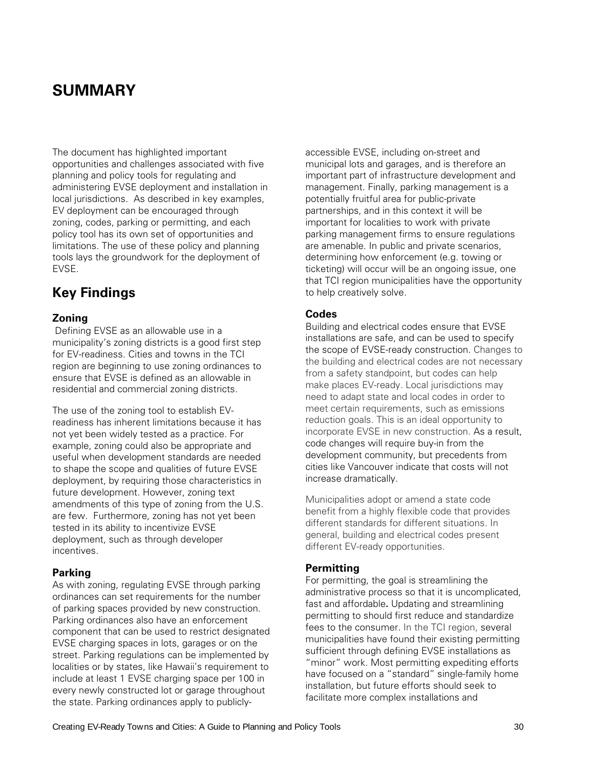# <span id="page-37-0"></span>**SUMMARY**

The document has highlighted important opportunities and challenges associated with five planning and policy tools for regulating and administering EVSE deployment and installation in local jurisdictions. As described in key examples, EV deployment can be encouraged through zoning, codes, parking or permitting, and each policy tool has its own set of opportunities and limitations. The use of these policy and planning tools lays the groundwork for the deployment of EVSE.

### **Key Findings**

### **Zoning**

Defining EVSE as an allowable use in a municipality's zoning districts is a good first step for EV-readiness. Cities and towns in the TCI region are beginning to use zoning ordinances to ensure that EVSE is defined as an allowable in residential and commercial zoning districts.

The use of the zoning tool to establish EVreadiness has inherent limitations because it has not yet been widely tested as a practice. For example, zoning could also be appropriate and useful when development standards are needed to shape the scope and qualities of future EVSE deployment, by requiring those characteristics in future development. However, zoning text amendments of this type of zoning from the U.S. are few. Furthermore, zoning has not yet been tested in its ability to incentivize EVSE deployment, such as through developer incentives.

### **Parking**

As with zoning, regulating EVSE through parking ordinances can set requirements for the number of parking spaces provided by new construction. Parking ordinances also have an enforcement component that can be used to restrict designated EVSE charging spaces in lots, garages or on the street. Parking regulations can be implemented by localities or by states, like Hawaii's requirement to include at least 1 EVSE charging space per 100 in every newly constructed lot or garage throughout the state. Parking ordinances apply to publiclyaccessible EVSE, including on-street and municipal lots and garages, and is therefore an important part of infrastructure development and management. Finally, parking management is a potentially fruitful area for public-private partnerships, and in this context it will be important for localities to work with private parking management firms to ensure regulations are amenable. In public and private scenarios, determining how enforcement (e.g. towing or ticketing) will occur will be an ongoing issue, one that TCI region municipalities have the opportunity to help creatively solve.

### **Codes**

Building and electrical codes ensure that EVSE installations are safe, and can be used to specify the scope of EVSE-ready construction. Changes to the building and electrical codes are not necessary from a safety standpoint, but codes can help make places EV-ready. Local jurisdictions may need to adapt state and local codes in order to meet certain requirements, such as emissions reduction goals. This is an ideal opportunity to incorporate EVSE in new construction. As a result, code changes will require buy-in from the development community, but precedents from cities like Vancouver indicate that costs will not increase dramatically.

Municipalities adopt or amend a state code benefit from a highly flexible code that provides different standards for different situations. In general, building and electrical codes present different EV-ready opportunities.

### **Permitting**

For permitting, the goal is streamlining the administrative process so that it is uncomplicated, fast and affordable**.** Updating and streamlining permitting to should first reduce and standardize fees to the consumer. In the TCI region, several municipalities have found their existing permitting sufficient through defining EVSE installations as "minor" work. Most permitting expediting efforts have focused on a "standard" single-family home installation, but future efforts should seek to facilitate more complex installations and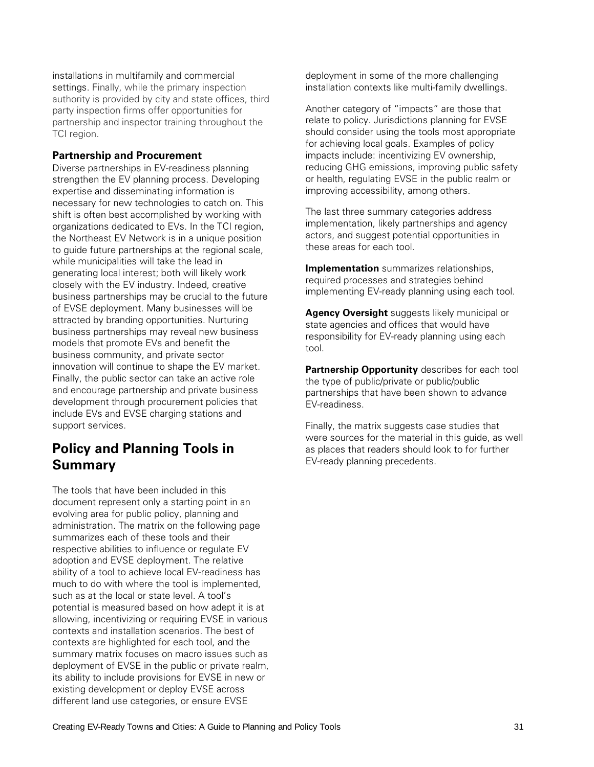installations in multifamily and commercial settings. Finally, while the primary inspection authority is provided by city and state offices, third party inspection firms offer opportunities for partnership and inspector training throughout the TCI region.

#### **Partnership and Procurement**

Diverse partnerships in EV-readiness planning strengthen the EV planning process. Developing expertise and disseminating information is necessary for new technologies to catch on. This shift is often best accomplished by working with organizations dedicated to EVs. In the TCI region, the Northeast EV Network is in a unique position to guide future partnerships at the regional scale, while municipalities will take the lead in generating local interest; both will likely work closely with the EV industry. Indeed, creative business partnerships may be crucial to the future of EVSE deployment. Many businesses will be attracted by branding opportunities. Nurturing business partnerships may reveal new business models that promote EVs and benefit the business community, and private sector innovation will continue to shape the EV market. Finally, the public sector can take an active role and encourage partnership and private business development through procurement policies that include EVs and EVSE charging stations and support services.

### **Policy and Planning Tools in Summary**

The tools that have been included in this document represent only a starting point in an evolving area for public policy, planning and administration. The matrix on the following page summarizes each of these tools and their respective abilities to influence or regulate EV adoption and EVSE deployment. The relative ability of a tool to achieve local EV-readiness has much to do with where the tool is implemented, such as at the local or state level. A tool's potential is measured based on how adept it is at allowing, incentivizing or requiring EVSE in various contexts and installation scenarios. The best of contexts are highlighted for each tool, and the summary matrix focuses on macro issues such as deployment of EVSE in the public or private realm, its ability to include provisions for EVSE in new or existing development or deploy EVSE across different land use categories, or ensure EVSE

deployment in some of the more challenging installation contexts like multi-family dwellings.

Another category of "impacts" are those that relate to policy. Jurisdictions planning for EVSE should consider using the tools most appropriate for achieving local goals. Examples of policy impacts include: incentivizing EV ownership, reducing GHG emissions, improving public safety or health, regulating EVSE in the public realm or improving accessibility, among others.

The last three summary categories address implementation, likely partnerships and agency actors, and suggest potential opportunities in these areas for each tool.

**Implementation** summarizes relationships, required processes and strategies behind implementing EV-ready planning using each tool.

**Agency Oversight** suggests likely municipal or state agencies and offices that would have responsibility for EV-ready planning using each tool.

**Partnership Opportunity** describes for each tool the type of public/private or public/public partnerships that have been shown to advance EV-readiness.

Finally, the matrix suggests case studies that were sources for the material in this guide, as well as places that readers should look to for further EV-ready planning precedents.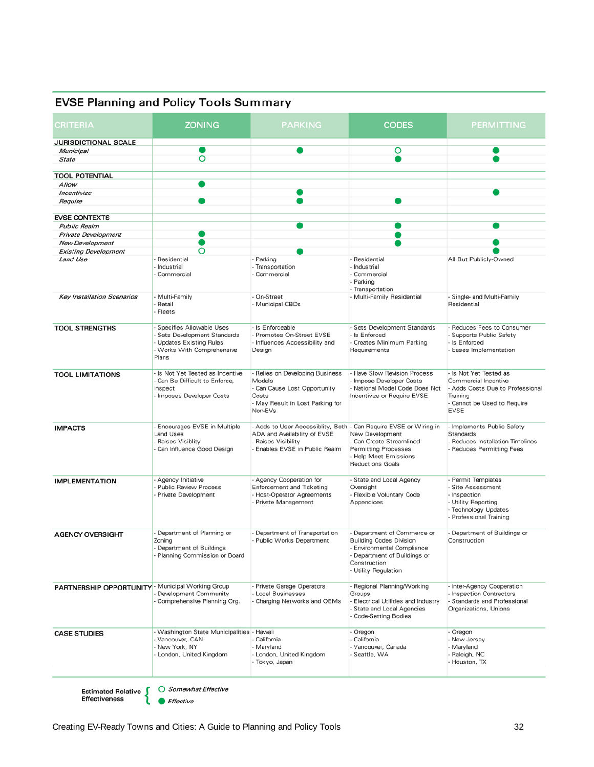### **EVSE Planning and Policy Tools Summary**

| CRITERIA                                                 | <b>ZONING</b>                                                                                                                | <b>PARKING</b>                                                                                                                                             | <b>CODES</b>                                                                                                                                                        | <b>PERMITTING</b>                                                                                                                            |
|----------------------------------------------------------|------------------------------------------------------------------------------------------------------------------------------|------------------------------------------------------------------------------------------------------------------------------------------------------------|---------------------------------------------------------------------------------------------------------------------------------------------------------------------|----------------------------------------------------------------------------------------------------------------------------------------------|
| <b>JURISDICTIONAL SCALE</b>                              |                                                                                                                              |                                                                                                                                                            |                                                                                                                                                                     |                                                                                                                                              |
| Municipal                                                |                                                                                                                              |                                                                                                                                                            | O                                                                                                                                                                   |                                                                                                                                              |
| State                                                    | $\circ$                                                                                                                      |                                                                                                                                                            |                                                                                                                                                                     |                                                                                                                                              |
|                                                          |                                                                                                                              |                                                                                                                                                            |                                                                                                                                                                     |                                                                                                                                              |
| <b>TOOL POTENTIAL</b>                                    |                                                                                                                              |                                                                                                                                                            |                                                                                                                                                                     |                                                                                                                                              |
|                                                          | O                                                                                                                            |                                                                                                                                                            |                                                                                                                                                                     |                                                                                                                                              |
| Allow                                                    |                                                                                                                              |                                                                                                                                                            |                                                                                                                                                                     |                                                                                                                                              |
| Incentivize                                              |                                                                                                                              |                                                                                                                                                            |                                                                                                                                                                     |                                                                                                                                              |
| Require                                                  |                                                                                                                              |                                                                                                                                                            |                                                                                                                                                                     |                                                                                                                                              |
| <b>EVSE CONTEXTS</b>                                     |                                                                                                                              |                                                                                                                                                            |                                                                                                                                                                     |                                                                                                                                              |
|                                                          |                                                                                                                              |                                                                                                                                                            |                                                                                                                                                                     |                                                                                                                                              |
| <b>Public Realm</b>                                      |                                                                                                                              |                                                                                                                                                            |                                                                                                                                                                     |                                                                                                                                              |
| Private Development                                      |                                                                                                                              |                                                                                                                                                            |                                                                                                                                                                     |                                                                                                                                              |
| New Development                                          |                                                                                                                              |                                                                                                                                                            |                                                                                                                                                                     |                                                                                                                                              |
| <b>Existing Development</b>                              | $\circ$                                                                                                                      |                                                                                                                                                            |                                                                                                                                                                     |                                                                                                                                              |
| Land Use                                                 | Residential<br>Industrial<br>Commercial                                                                                      | - Parking<br>- Transportation<br>Commercial                                                                                                                | - Residential<br>- Industrial<br>- Commercial<br>- Parking<br>- Transportation                                                                                      | All But Publicly-Owned                                                                                                                       |
| <b>Key Installation Scenarios</b>                        | Multi-Family<br>Retail<br>- Fleets                                                                                           | - On-Street<br>- Municipal CBDs                                                                                                                            | - Multi-Family Residential                                                                                                                                          | - Single- and Multi-Family<br>Residential                                                                                                    |
| <b>TOOL STRENGTHS</b>                                    | Specifies Allowable Uses<br>Sets Development Standards<br><b>Updates Existing Rules</b><br>Works With Comprehensive<br>Plans | - Is Enforceable<br>- Promotes On-Street EVSE<br>- Influences Accessibility and<br>Design                                                                  | - Sets Development Standards<br>- Is Enforced<br>- Creates Minimum Parking<br>Requirements                                                                          | - Reduces Fees to Consumer<br>- Supports Public Safety<br>- Is Enforced<br>- Eases Implementation                                            |
| <b>TOOL LIMITATIONS</b>                                  | - Is Not Yet Tested as Incentive<br>Can Be Difficult to Enforce.<br>Inspect<br>Imposes Developer Costs                       | - Relies on Developing Business<br>Models<br>- Can Cause Lost Opportunity<br>Costs<br>- May Result in Lost Parking for<br>Non-EVs                          | - Have Slow Revision Process<br>- Impose Developer Costs<br>- National Model Code Does Not<br>Incentivize or Require EVSE                                           | - Is Not Yet Tested as<br>Commercial Incentive<br>- Adds Costs Due to Professional<br>Training<br>- Cannot be Used to Require<br><b>EVSE</b> |
| <b>IMPACTS</b>                                           | Encourages EVSE in Multiple<br>Land Uses<br>Raises Visiblity<br>Can Influence Good Design                                    | - Adds to User Accessiblity, Both - Can Require EVSE or Wiring in<br>ADA and Availability of EVSE<br>- Raises Visibility<br>- Enables EVSE in Public Realm | New Development<br>- Can Create Streamlined<br><b>Permitting Processes</b><br>- Help Meet Emissions<br><b>Reductions Goals</b>                                      | - Implements Public Safety<br>Standards<br>- Reduces Installation Timelines<br>- Reduces Permitting Fees                                     |
| <b>IMPLEMENTATION</b>                                    | Agency Initiative<br><b>Public Review Process</b><br>Private Development                                                     | - Agency Cooperation for<br><b>Enforcement and Ticketing</b><br>- Host-Operator Agreements<br>- Private Management                                         | - State and Local Agency<br>Oversight<br>- Flexible Voluntary Code<br>Appendices                                                                                    | - Permit Templates<br>- Site Assessment<br>- Inspection<br>- Utility Reporting<br>- Technology Updates<br>- Professional Training            |
| <b>AGENCY OVERSIGHT</b>                                  | Department of Planning or<br>Zoning<br>Department of Buildings<br>Planning Commission or Board                               | - Department of Transportation<br>- Public Works Department                                                                                                | - Department of Commerce or<br><b>Building Codes Division</b><br>- Environmental Compliance<br>- Department of Buildings or<br>Construction<br>- Utility Regulation | - Department of Buildings or<br>Construction                                                                                                 |
| <b>PARTNERSHIP OPPORTUNITY</b> - Municipal Working Group | Development Community<br>Comprehensive Planning Org.                                                                         | - Private Garage Operators<br>- Local Businesses<br>- Charging Networks and OEMs                                                                           | - Regional Planning/Working<br>Groups<br>- Electrical Utilities and Industry<br>- State and Local Agencies<br>- Code-Setting Bodies                                 | - Inter-Agency Cooperation<br>- Inspection Contractors<br>- Standards and Professional<br>Organizations, Unions                              |
| <b>CASE STUDIES</b>                                      | - Washington State Municipalities - Hawaii<br>Vancouver, CAN<br>New York, NY<br>London, United Kingdom                       | - California<br>- Maryland<br>- London, United Kingdom<br>- Tokyo, Japan                                                                                   | - Oregon<br>- California<br>- Vancouver, Canada<br>- Seattle, WA                                                                                                    | - Oregon<br>- New Jersey<br>- Maryland<br>- Raleigh, NC<br>- Houston, TX                                                                     |

Estimated Relative **C** *C Somewhat Effective*<br>Effectiveness **C** *Effective*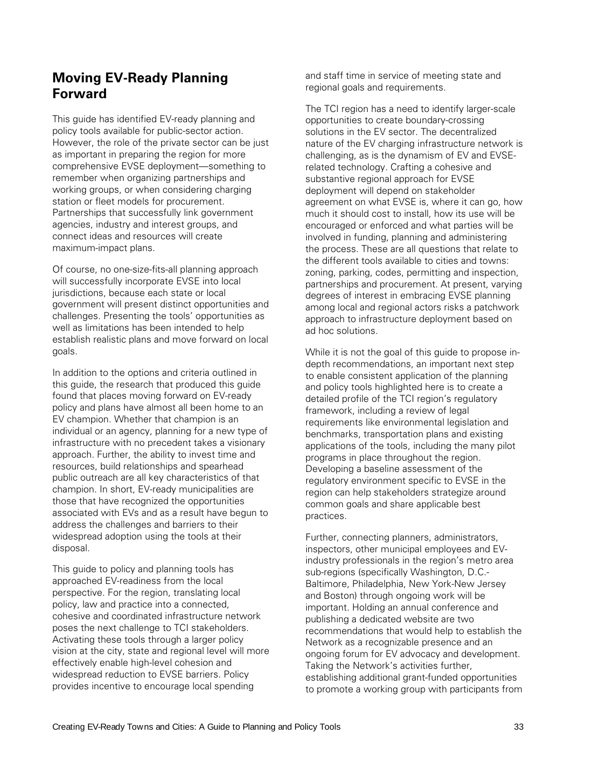### **Moving EV-Ready Planning Forward**

This guide has identified EV-ready planning and policy tools available for public-sector action. However, the role of the private sector can be just as important in preparing the region for more comprehensive EVSE deployment—something to remember when organizing partnerships and working groups, or when considering charging station or fleet models for procurement. Partnerships that successfully link government agencies, industry and interest groups, and connect ideas and resources will create maximum-impact plans.

Of course, no one-size-fits-all planning approach will successfully incorporate EVSE into local jurisdictions, because each state or local government will present distinct opportunities and challenges. Presenting the tools' opportunities as well as limitations has been intended to help establish realistic plans and move forward on local goals.

In addition to the options and criteria outlined in this guide, the research that produced this guide found that places moving forward on EV-ready policy and plans have almost all been home to an EV champion. Whether that champion is an individual or an agency, planning for a new type of infrastructure with no precedent takes a visionary approach. Further, the ability to invest time and resources, build relationships and spearhead public outreach are all key characteristics of that champion. In short, EV-ready municipalities are those that have recognized the opportunities associated with EVs and as a result have begun to address the challenges and barriers to their widespread adoption using the tools at their disposal.

This guide to policy and planning tools has approached EV-readiness from the local perspective. For the region, translating local policy, law and practice into a connected, cohesive and coordinated infrastructure network poses the next challenge to TCI stakeholders. Activating these tools through a larger policy vision at the city, state and regional level will more effectively enable high-level cohesion and widespread reduction to EVSE barriers. Policy provides incentive to encourage local spending

and staff time in service of meeting state and regional goals and requirements.

The TCI region has a need to identify larger-scale opportunities to create boundary-crossing solutions in the EV sector. The decentralized nature of the EV charging infrastructure network is challenging, as is the dynamism of EV and EVSErelated technology. Crafting a cohesive and substantive regional approach for EVSE deployment will depend on stakeholder agreement on what EVSE is, where it can go, how much it should cost to install, how its use will be encouraged or enforced and what parties will be involved in funding, planning and administering the process. These are all questions that relate to the different tools available to cities and towns: zoning, parking, codes, permitting and inspection, partnerships and procurement. At present, varying degrees of interest in embracing EVSE planning among local and regional actors risks a patchwork approach to infrastructure deployment based on ad hoc solutions.

While it is not the goal of this guide to propose indepth recommendations, an important next step to enable consistent application of the planning and policy tools highlighted here is to create a detailed profile of the TCI region's regulatory framework, including a review of legal requirements like environmental legislation and benchmarks, transportation plans and existing applications of the tools, including the many pilot programs in place throughout the region. Developing a baseline assessment of the regulatory environment specific to EVSE in the region can help stakeholders strategize around common goals and share applicable best practices.

Further, connecting planners, administrators, inspectors, other municipal employees and EVindustry professionals in the region's metro area sub-regions (specifically Washington, D.C.- Baltimore, Philadelphia, New York-New Jersey and Boston) through ongoing work will be important. Holding an annual conference and publishing a dedicated website are two recommendations that would help to establish the Network as a recognizable presence and an ongoing forum for EV advocacy and development. Taking the Network's activities further, establishing additional grant-funded opportunities to promote a working group with participants from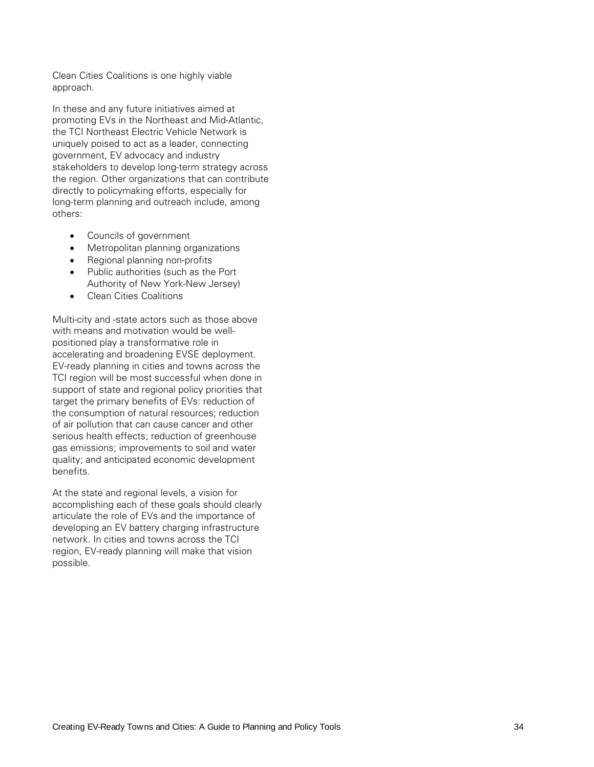Clean Cities Coalitions is one highly viable approach.

In these and any future initiatives aimed at promoting EVs in the Northeast and Mid-Atlantic, the TCI Northeast Electric Vehicle Network is uniquely poised to act as a leader, connecting government, EV advocacy and industry stakeholders to develop long-term strategy across the region. Other organizations that can contribute directly to policymaking efforts, especially for long-term planning and outreach include, among others:

- Councils of government
- Metropolitan planning organizations
- Regional planning non-profits
- Public authorities (such as the Port Authority of New York-New Jersey)
- Clean Cities Coalitions

Multi-city and -state actors such as those above with means and motivation would be wellpositioned play a transformative role in accelerating and broadening EVSE deployment. EV-ready planning in cities and towns across the TCI region will be most successful when done in support of state and regional policy priorities that target the primary benefits of EVs: reduction of the consumption of natural resources; reduction of air pollution that can cause cancer and other serious health effects; reduction of greenhouse gas emissions; improvements to soil and water quality; and anticipated economic development benefits.

At the state and regional levels, a vision for accomplishing each of these goals should clearly articulate the role of EVs and the importance of developing an EV battery charging infrastructure network. In cities and towns across the TCI region, EV-ready planning will make that vision possible.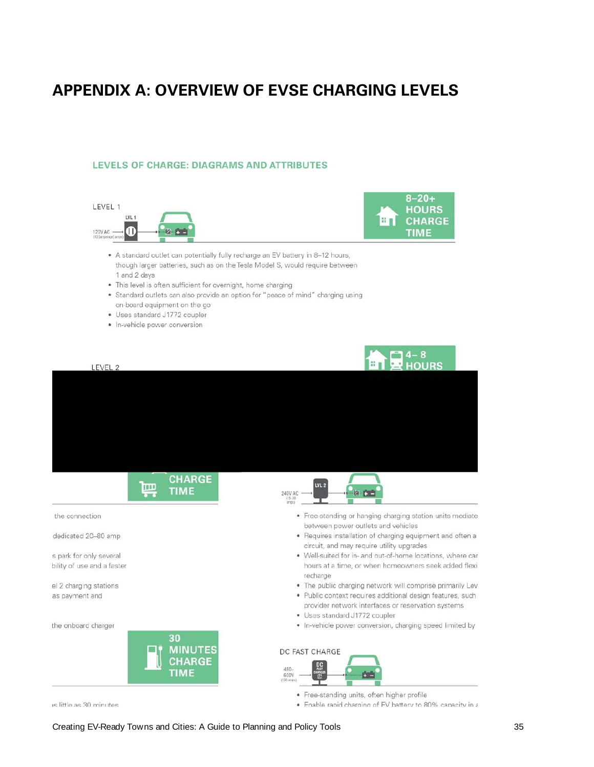# **APPENDIX A: OVERVIEW OF EVSE CHARGING LEVELS**

#### LEVELS OF CHARGE: DIAGRAMS AND ATTRIBUTES





- A standard outlet can potentially fully recharge an EV battery in 8-12 hours, though larger batteries, such as on the Tesla Model S, would require between 1 and 2 days
- . This level is often sufficient for overnight, home charging
- · Standard outlets can also provide an option for "peace of mind" charging using on-board equipment on the go
- · Uses standard J1772 coupler
- · In-vehicle power conversion



is little as 30 minutes

- Free-standing units, often higher profile
- · Enable rapid charging of EV battery to 80% capacity in a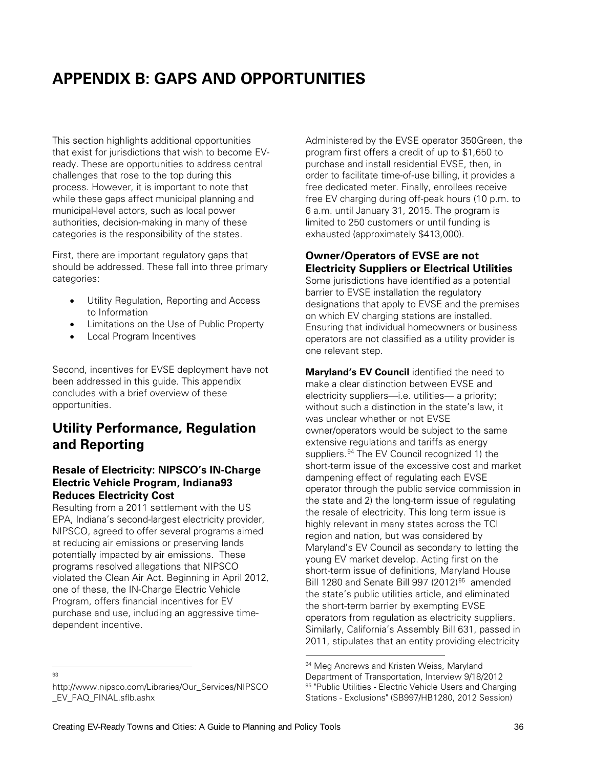# **APPENDIX B: GAPS AND OPPORTUNITIES**

This section highlights additional opportunities that exist for jurisdictions that wish to become EVready. These are opportunities to address central challenges that rose to the top during this process. However, it is important to note that while these gaps affect municipal planning and municipal-level actors, such as local power authorities, decision-making in many of these categories is the responsibility of the states.

First, there are important regulatory gaps that should be addressed. These fall into three primary categories:

- Utility Regulation, Reporting and Access to Information
- Limitations on the Use of Public Property
- **Local Program Incentives**

Second, incentives for EVSE deployment have not been addressed in this guide. This appendix concludes with a brief overview of these opportunities.

### **Utility Performance, Regulation and Reporting**

### **Resale of Electricity: NIPSCO's [IN-Charge](http://www.nipsco.com/en/our-services/in-charge-ev.aspx)  [Electric Vehicle Program,](http://www.nipsco.com/en/our-services/in-charge-ev.aspx) Indiana[93](#page-43-0) Reduces Electricity Cost**

Resulting from a 2011 settlement with the US EPA, Indiana's second-largest electricity provider, NIPSCO, agreed to offer several programs aimed at reducing air emissions or preserving lands potentially impacted by air emissions. These programs resolved allegations that NIPSCO violated the Clean Air Act. Beginning in April 2012, one of these, the [IN-Charge Electric Vehicle](http://www.nipsco.com/en/our-services/in-charge-ev.aspx)  [Program,](http://www.nipsco.com/en/our-services/in-charge-ev.aspx) offers financial incentives for EV purchase and use, including an aggressive timedependent incentive.

Administered by the EVSE operator 350Green, the program first offers a credit of up to \$1,650 to purchase and install residential EVSE, then, in order to facilitate time-of-use billing, it provides a free dedicated meter. Finally, enrollees receive free EV charging during off-peak hours (10 p.m. to 6 a.m. until January 31, 2015. The program is limited to 250 customers or until funding is exhausted (approximately \$413,000).

### **Owner/Operators of EVSE are not Electricity Suppliers or Electrical Utilities**

Some jurisdictions have identified as a potential barrier to EVSE installation the regulatory designations that apply to EVSE and the premises on which EV charging stations are installed. Ensuring that individual homeowners or business operators are not classified as a utility provider is one relevant step.

**Maryland's EV Council** identified the need to make a clear distinction between EVSE and electricity suppliers—i.e. utilities— a priority; without such a distinction in the state's law, it was unclear whether or not EVSE owner/operators would be subject to the same extensive regulations and tariffs as energy suppliers.<sup>[94](#page-43-1)</sup> The EV Council recognized 1) the short-term issue of the excessive cost and market dampening effect of regulating each EVSE operator through the public service commission in the state and 2) the long-term issue of regulating the resale of electricity. This long term issue is highly relevant in many states across the TCI region and nation, but was considered by Maryland's EV Council as secondary to letting the young EV market develop. Acting first on the short-term issue of definitions, Maryland House Bill 1280 and Senate Bill 997 (2012)<sup>[95](#page-43-0)</sup> amended the state's public utilities article, and eliminated the short-term barrier by exempting EVSE operators from regulation as electricity suppliers. Similarly, California's Assembly Bill 631, passed in 2011, stipulates that an entity providing electricity

<sup>94</sup> Meg Andrews and Kristen Weiss, Maryland Department of Transportation, Interview 9/18/2012 95 "Public Utilities - Electric Vehicle Users and Charging Stations - Exclusions" (SB997/HB1280, 2012 Session)

<span id="page-43-1"></span> <sup>93</sup>

<span id="page-43-0"></span>http://www.nipsco.com/Libraries/Our\_Services/NIPSCO \_EV\_FAQ\_FINAL.sflb.ashx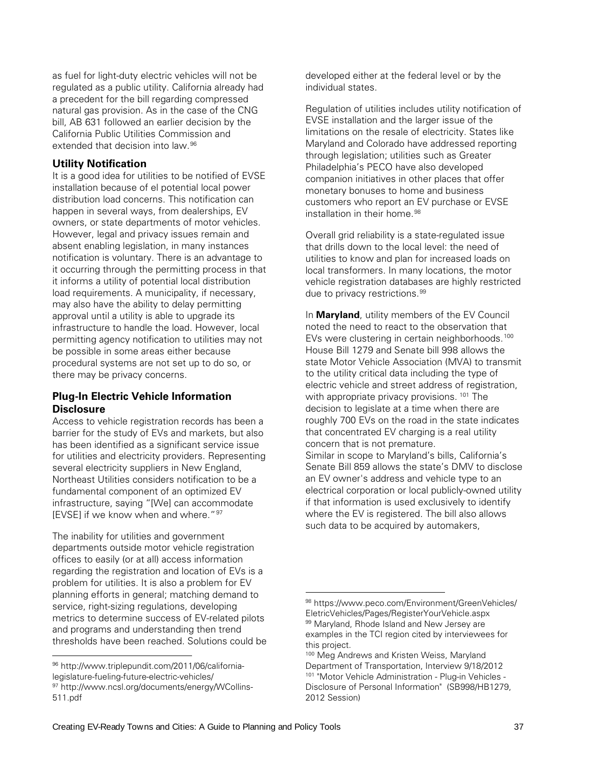as fuel for light-duty electric vehicles will not be regulated as a public utility. California already had a precedent for the bill regarding compressed natural gas provision. As in the case of the CNG bill, AB 631 followed an earlier decision by the California Public Utilities Commission and extended that decision into law.<sup>[96](#page-44-0)</sup>

#### **Utility Notification**

It is a good idea for utilities to be notified of EVSE installation because of el potential local power distribution load concerns. This notification can happen in several ways, from dealerships, EV owners, or state departments of motor vehicles. However, legal and privacy issues remain and absent enabling legislation, in many instances notification is voluntary. There is an advantage to it occurring through the permitting process in that it informs a utility of potential local distribution load requirements. A municipality, if necessary, may also have the ability to delay permitting approval until a utility is able to upgrade its infrastructure to handle the load. However, local permitting agency notification to utilities may not be possible in some areas either because procedural systems are not set up to do so, or there may be privacy concerns.

#### **Plug-In Electric Vehicle Information Disclosure**

Access to vehicle registration records has been a barrier for the study of EVs and markets, but also has been identified as a significant service issue for utilities and electricity providers. Representing several electricity suppliers in New England, Northeast Utilities considers notification to be a fundamental component of an optimized EV infrastructure, saying "[We] can accommodate [EVSE] if we know when and where." $97$ 

The inability for utilities and government departments outside motor vehicle registration offices to easily (or at all) access information regarding the registration and location of EVs is a problem for utilities. It is also a problem for EV planning efforts in general; matching demand to service, right-sizing regulations, developing metrics to determine success of EV-related pilots and programs and understanding then trend thresholds have been reached. Solutions could be developed either at the federal level or by the individual states.

Regulation of utilities includes utility notification of EVSE installation and the larger issue of the limitations on the resale of electricity. States like Maryland and Colorado have addressed reporting through legislation; utilities such as Greater Philadelphia's PECO have also developed companion initiatives in other places that offer monetary bonuses to home and business customers who report an EV purchase or EVSE installation in their home.<sup>[98](#page-44-2)</sup>

Overall grid reliability is a state-regulated issue that drills down to the local level: the need of utilities to know and plan for increased loads on local transformers. In many locations, the motor vehicle registration databases are highly restricted due to privacy restrictions.<sup>[99](#page-44-3)</sup>

In **Maryland**, utility members of the EV Council noted the need to react to the observation that EVs were clustering in certain neighborhoods.<sup>[100](#page-44-4)</sup> House Bill 1279 and Senate bill 998 allows the state Motor Vehicle Association (MVA) to transmit to the utility critical data including the type of electric vehicle and street address of registration, with appropriate privacy provisions.<sup>[101](#page-44-5)</sup> The decision to legislate at a time when there are roughly 700 EVs on the road in the state indicates that concentrated EV charging is a real utility concern that is not premature.

Similar in scope to Maryland's bills, California's Senate Bill 859 allows the state's DMV to disclose an EV owner's address and vehicle type to an electrical corporation or local publicly-owned utility if that information is used exclusively to identify where the EV is registered. The bill also allows such data to be acquired by automakers,

<span id="page-44-4"></span><span id="page-44-3"></span><span id="page-44-2"></span><span id="page-44-0"></span> <sup>96</sup> http://www.triplepundit.com/2011/06/californialegislature-fueling-future-electric-vehicles/

<span id="page-44-5"></span><span id="page-44-1"></span><sup>97</sup> http://www.ncsl.org/documents/energy/WCollins-511.pdf

 <sup>98</sup> https://www.peco.com/Environment/GreenVehicles/ EletricVehicles/Pages/RegisterYourVehicle.aspx 99 Maryland, Rhode Island and New Jersey are examples in the TCI region cited by interviewees for this project.

<sup>&</sup>lt;sup>100</sup> Meg Andrews and Kristen Weiss, Maryland Department of Transportation, Interview 9/18/2012 <sup>101</sup> "Motor Vehicle Administration - Plug-in Vehicles - Disclosure of Personal Information" (SB998/HB1279, 2012 Session)